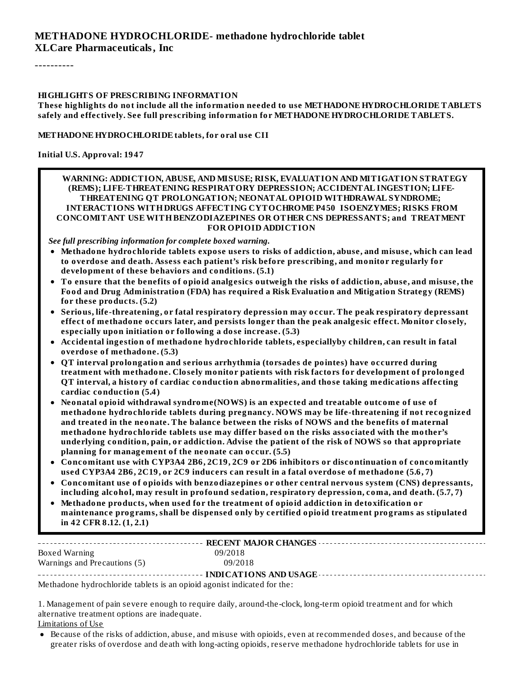#### **METHADONE HYDROCHLORIDE- methadone hydrochloride tablet XLCare Pharmaceuticals, Inc**

----------

#### **HIGHLIGHTS OF PRESCRIBING INFORMATION**

**These highlights do not include all the information needed to use METHADONE HYDROCHLORIDE TABLETS safely and effectively. See full prescribing information for METHADONE HYDROCHLORIDE TABLETS.**

#### **METHADONE HYDROCHLORIDE tablets, for oral use CII**

**Initial U.S. Approval: 1947**

**WARNING: ADDICTION, ABUSE, AND MISUSE; RISK, EVALUATION AND MITIGATION STRATEGY (REMS); LIFE-THREATENING RESPIRATORY DEPRESSION; ACCIDENTAL INGESTION; LIFE-THREATENING QT PROLONGATION; NEONATAL OPIOID WITHDRAWAL SYNDROME; INTERACTIONS WITHDRUGS AFFECTING CYTOCHROME P450 ISOENZYMES; RISKS FROM CONCOMITANT USE WITHBENZODIAZEPINES OR OTHER CNS DEPRESSANTS; and TREATMENT FOR OPIOID ADDICTION**

*See full prescribing information for complete boxed warning.*

- **Methadone hydrochloride tablets expose users to risks of addiction, abuse, and misuse, which can lead to overdose and death. Assess each patient's risk before prescribing, and monitor regularly for development of these behaviors and conditions. (5.1)**
- **To ensure that the benefits of opioid analgesics outweigh the risks of addiction, abuse, and misuse, the Food and Drug Administration (FDA) has required a Risk Evaluation and Mitigation Strategy (REMS) for these products. (5.2)**
- **Serious, life-threatening, or fatal respiratory depression may occur. The peak respiratory depressant effect of methadone occurs later, and persists longer than the peak analgesic effect. Monitor closely, especially upon initiation or following a dose increase. (5.3)**
- **Accidental ingestion of methadone hydrochloride tablets, especiallyby children, can result in fatal overdose of methadone. (5.3)**
- **QT interval prolongation and serious arrhythmia (torsades de pointes) have occurred during treatment with methadone. Closely monitor patients with risk factors for development of prolonged QT interval, a history of cardiac conduction abnormalities, and those taking medications affecting cardiac conduction (5.4)**
- **Neonatal opioid withdrawal syndrome(NOWS) is an expected and treatable outcome of use of methadone hydrochloride tablets during pregnancy. NOWS may be life-threatening if not recognized and treated in the neonate. The balance between the risks of NOWS and the benefits of maternal methadone hydrochloride tablets use may differ based on the risks associated with the mother's underlying condition, pain, or addiction. Advise the patient of the risk of NOWS so that appropriate planning for management of the neonate can occur. (5.5)**
- **Concomitant use with CYP3A4 2B6, 2C19, 2C9 or 2D6 inhibitors or discontinuation of concomitantly used CYP3A4 2B6, 2C19, or 2C9 inducers can result in a fatal overdose of methadone (5.6, 7)**
- **Concomitant use of opioids with benzodiazepines or other central nervous system (CNS) depressants, including alcohol, may result in profound sedation, respiratory depression, coma, and death. (5.7, 7)**
- **Methadone products, when used for the treatment of opioid addiction in detoxification or maintenance programs, shall be dispensed only by certified opioid treatment programs as stipulated in 42 CFR 8.12. (1, 2.1)**

| Boxed Warning                | 09/2018 |  |  |  |
|------------------------------|---------|--|--|--|
| Warnings and Precautions (5) | 09/2018 |  |  |  |
|                              |         |  |  |  |

Methadone hydrochloride tablets is an opioid agonist indicated for the:

1. Management of pain severe enough to require daily, around-the-clock, long-term opioid treatment and for which alternative treatment options are inadequate.

Limitations of Use

Because of the risks of addiction, abuse, and misuse with opioids, even at recommended doses, and because of the greater risks of overdose and death with long-acting opioids, reserve methadone hydrochloride tablets for use in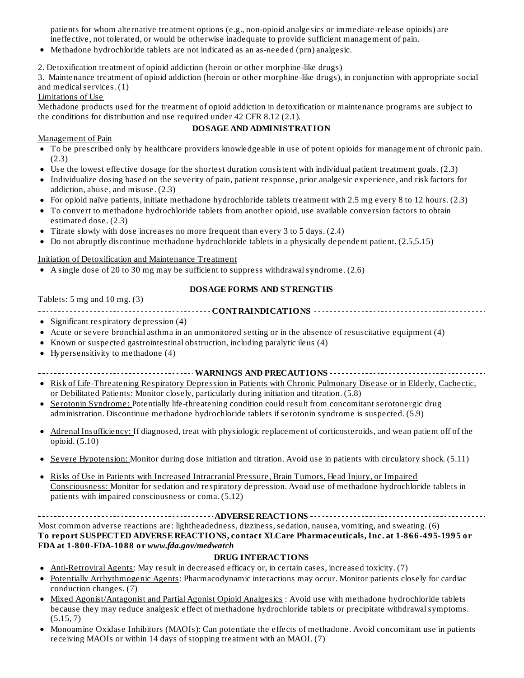patients for whom alternative treatment options (e.g., non-opioid analgesics or immediate-release opioids) are ineffective, not tolerated, or would be otherwise inadequate to provide sufficient management of pain.

- Methadone hydrochloride tablets are not indicated as an as-needed (prn) analgesic.
- 2. Detoxification treatment of opioid addiction (heroin or other morphine-like drugs)

3. Maintenance treatment of opioid addiction (heroin or other morphine-like drugs), in conjunction with appropriate social and medical services.  $(1)$ 

Limitations of Use

Methadone products used for the treatment of opioid addiction in detoxification or maintenance programs are subject to the conditions for distribution and use required under 42 CFR 8.12 (2.1).

#### **DOSAGE AND ADMINISTRATION** Management of Pain

- To be prescribed only by healthcare providers knowledgeable in use of potent opioids for management of chronic pain. (2.3)
- Use the lowest effective dosage for the shortest duration consistent with individual patient treatment goals. (2.3)
- Individualize dosing based on the severity of pain, patient response, prior analgesic experience, and risk factors for addiction, abuse, and misuse. (2.3)
- For opioid naïve patients, initiate methadone hydrochloride tablets treatment with 2.5 mg every 8 to 12 hours. (2.3)
- To convert to methadone hydrochloride tablets from another opioid, use available conversion factors to obtain estimated dose. (2.3)
- Titrate slowly with dose increases no more frequent than every 3 to 5 days. (2.4)
- Do not abruptly discontinue methadone hydrochloride tablets in a physically dependent patient. (2.5,5.15)

#### Initiation of Detoxification and Maintenance Treatment

A single dose of 20 to 30 mg may be sufficient to suppress withdrawalsyndrome. (2.6)

| Tablets: $5 \text{ mg}$ and $10 \text{ mg}$ . $(3)$ |  |
|-----------------------------------------------------|--|

**CONTRAINDICATIONS**

- Significant respiratory depression (4)
- Acute or severe bronchial asthma in an unmonitored setting or in the absence of resuscitative equipment (4)
- Known or suspected gastrointestinal obstruction, including paralytic ileus (4)
- Hypersensitivity to methadone (4)

**WARNINGS AND PRECAUTIONS**

- Risk of Life-Threatening Respiratory Depression in Patients with Chronic Pulmonary Disease or in Elderly, Cachectic, or Debilitated Patients: Monitor closely, particularly during initiation and titration. (5.8)
- Serotonin Syndrome: Potentially life-threatening condition could result from concomitant serotonergic drug administration. Discontinue methadone hydrochloride tablets if serotonin syndrome is suspected. (5.9)
- Adrenal Insufficiency: If diagnosed, treat with physiologic replacement of corticosteroids, and wean patient off of the opioid. (5.10)
- Severe Hypotension: Monitor during dose initiation and titration. Avoid use in patients with circulatory shock. (5.11)
- Risks of Use in Patients with Increased Intracranial Pressure, Brain Tumors, Head Injury, or Impaired  $\bullet$ Consciousness: Monitor for sedation and respiratory depression. Avoid use of methadone hydrochloride tablets in patients with impaired consciousness or coma. (5.12)

**ADVERSE REACTIONS** Most common adverse reactions are: lightheadedness, dizziness, sedation, nausea, vomiting, and sweating. (6) **To report SUSPECTED ADVERSE REACTIONS, contact XLCare Pharmaceuticals, Inc. at 1-866-495-1995 or FDA at 1-800-FDA-1088 or** *www.fda.gov/medwatch*

```
DRUG INTERACTIONS
```
- Anti-Retroviral Agents: May result in decreased efficacy or, in certain cases, increased toxicity. (7)
- Potentially Arrhythmogenic Agents: Pharmacodynamic interactions may occur. Monitor patients closely for cardiac  $\bullet$ conduction changes. (7)
- Mixed Agonist/Antagonist and Partial Agonist Opioid Analgesics : Avoid use with methadone hydrochloride tablets because they may reduce analgesic effect of methadone hydrochloride tablets or precipitate withdrawal symptoms.  $(5.15, 7)$
- Monoamine Oxidase Inhibitors (MAOIs): Can potentiate the effects of methadone. Avoid concomitant use in patients receiving MAOIs or within 14 days of stopping treatment with an MAOI. (7)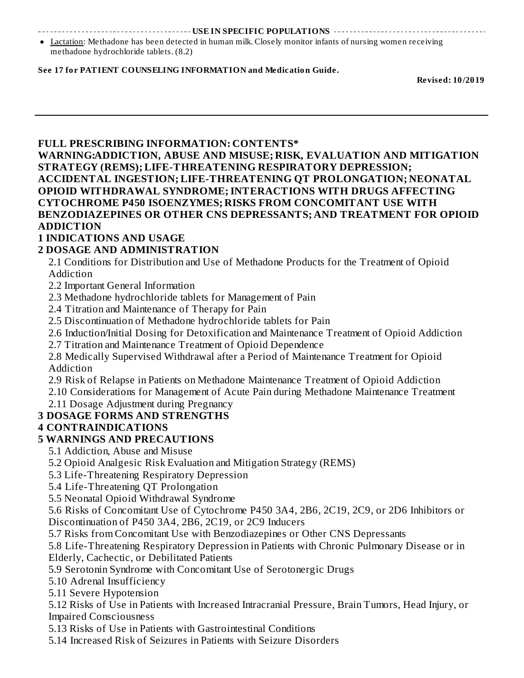#### **USE IN SPECIFIC POPULATIONS**

• Lactation: Methadone has been detected in human milk. Closely monitor infants of nursing women receiving methadone hydrochloride tablets. (8.2)

#### **See 17 for PATIENT COUNSELING INFORMATION and Medication Guide.**

**Revised: 10/2019**

#### **FULL PRESCRIBING INFORMATION: CONTENTS\***

**WARNING:ADDICTION, ABUSE AND MISUSE; RISK, EVALUATION AND MITIGATION STRATEGY (REMS); LIFE-THREATENING RESPIRATORY DEPRESSION; ACCIDENTAL INGESTION; LIFE-THREATENING QT PROLONGATION; NEONATAL OPIOID WITHDRAWAL SYNDROME;INTERACTIONS WITH DRUGS AFFECTING CYTOCHROME P450 ISOENZYMES; RISKS FROM CONCOMITANT USE WITH BENZODIAZEPINES OR OTHER CNS DEPRESSANTS; AND TREATMENT FOR OPIOID ADDICTION**

#### **1 INDICATIONS AND USAGE**

#### **2 DOSAGE AND ADMINISTRATION**

2.1 Conditions for Distribution and Use of Methadone Products for the Treatment of Opioid Addiction

2.2 Important General Information

2.3 Methadone hydrochloride tablets for Management of Pain

2.4 Titration and Maintenance of Therapy for Pain

2.5 Discontinuation of Methadone hydrochloride tablets for Pain

2.6 Induction/Initial Dosing for Detoxification and Maintenance Treatment of Opioid Addiction

2.7 Titration and Maintenance Treatment of Opioid Dependence

2.8 Medically Supervised Withdrawal after a Period of Maintenance Treatment for Opioid Addiction

2.9 Risk of Relapse in Patients on Methadone Maintenance Treatment of Opioid Addiction

2.10 Considerations for Management of Acute Pain during Methadone Maintenance Treatment

2.11 Dosage Adjustment during Pregnancy

#### **3 DOSAGE FORMS AND STRENGTHS**

#### **4 CONTRAINDICATIONS**

#### **5 WARNINGS AND PRECAUTIONS**

5.1 Addiction, Abuse and Misuse

5.2 Opioid Analgesic Risk Evaluation and Mitigation Strategy (REMS)

5.3 Life-Threatening Respiratory Depression

5.4 Life-Threatening QT Prolongation

5.5 Neonatal Opioid Withdrawal Syndrome

5.6 Risks of Concomitant Use of Cytochrome P450 3A4, 2B6, 2C19, 2C9, or 2D6 Inhibitors or Discontinuation of P450 3A4, 2B6, 2C19, or 2C9 Inducers

5.7 Risks from Concomitant Use with Benzodiazepines or Other CNS Depressants

5.8 Life-Threatening Respiratory Depression in Patients with Chronic Pulmonary Disease or in Elderly, Cachectic, or Debilitated Patients

5.9 Serotonin Syndrome with Concomitant Use of Serotonergic Drugs

5.10 Adrenal Insufficiency

5.11 Severe Hypotension

5.12 Risks of Use in Patients with Increased Intracranial Pressure, Brain Tumors, Head Injury, or Impaired Consciousness

5.13 Risks of Use in Patients with Gastrointestinal Conditions

5.14 Increased Risk of Seizures in Patients with Seizure Disorders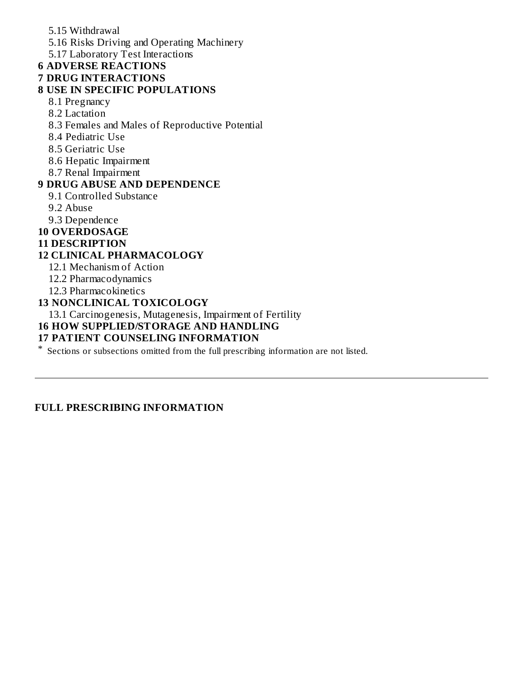5.15 Withdrawal

5.16 Risks Driving and Operating Machinery

5.17 Laboratory Test Interactions

### **6 ADVERSE REACTIONS**

#### **7 DRUG INTERACTIONS**

#### **8 USE IN SPECIFIC POPULATIONS**

- 8.1 Pregnancy
- 8.2 Lactation
- 8.3 Females and Males of Reproductive Potential
- 8.4 Pediatric Use
- 8.5 Geriatric Use
- 8.6 Hepatic Impairment
- 8.7 Renal Impairment

#### **9 DRUG ABUSE AND DEPENDENCE**

- 9.1 Controlled Substance
- 9.2 Abuse
- 9.3 Dependence
- **10 OVERDOSAGE**

#### **11 DESCRIPTION**

### **12 CLINICAL PHARMACOLOGY**

- 12.1 Mechanism of Action
- 12.2 Pharmacodynamics
- 12.3 Pharmacokinetics

#### **13 NONCLINICAL TOXICOLOGY**

13.1 Carcinogenesis, Mutagenesis, Impairment of Fertility

#### **16 HOW SUPPLIED/STORAGE AND HANDLING**

#### **17 PATIENT COUNSELING INFORMATION**

\* Sections or subsections omitted from the full prescribing information are not listed.

### **FULL PRESCRIBING INFORMATION**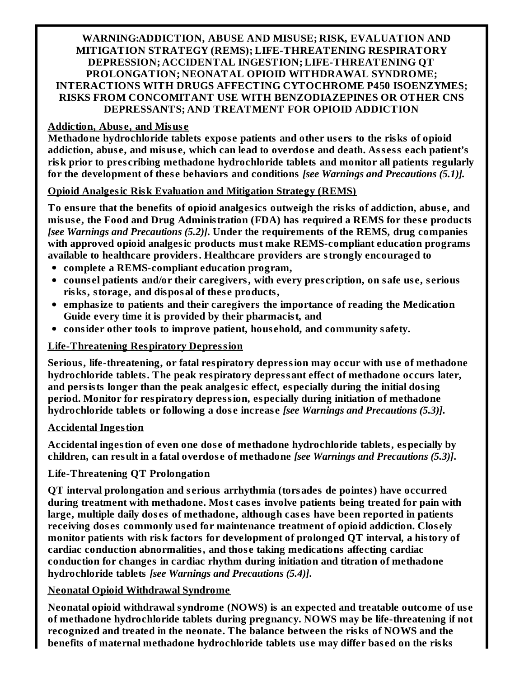#### **WARNING:ADDICTION, ABUSE AND MISUSE; RISK, EVALUATION AND MITIGATION STRATEGY (REMS); LIFE-THREATENING RESPIRATORY DEPRESSION; ACCIDENTAL INGESTION; LIFE-THREATENING QT PROLONGATION; NEONATAL OPIOID WITHDRAWAL SYNDROME; INTERACTIONS WITH DRUGS AFFECTING CYTOCHROME P450 ISOENZYMES; RISKS FROM CONCOMITANT USE WITH BENZODIAZEPINES OR OTHER CNS DEPRESSANTS; AND TREATMENT FOR OPIOID ADDICTION**

#### **Addiction, Abus e, and Misus e**

**Methadone hydrochloride tablets expos e patients and other us ers to the risks of opioid addiction, abus e, and misus e, which can lead to overdos e and death. Ass ess each patient's risk prior to pres cribing methadone hydrochloride tablets and monitor all patients regularly for the development of thes e behaviors and conditions** *[see Warnings and Precautions (5.1)].*

#### **Opioid Analgesic Risk Evaluation and Mitigation Strategy (REMS)**

**To ensure that the benefits of opioid analgesics outweigh the risks of addiction, abus e, and misus e, the Food and Drug Administration (FDA) has required a REMS for thes e products** *[see Warnings and Precautions (5.2)]***. Under the requirements of the REMS, drug companies with approved opioid analgesic products must make REMS-compliant education programs available to healthcare providers. Healthcare providers are strongly encouraged to**

- **complete a REMS-compliant education program,**
- **couns el patients and/or their caregivers, with every pres cription, on safe us e, s erious risks, storage, and disposal of thes e products,**
- **emphasize to patients and their caregivers the importance of reading the Medication Guide every time it is provided by their pharmacist, and**
- **consider other tools to improve patient, hous ehold, and community safety.**

### **Life-Threatening Respiratory Depression**

**Serious, life-threatening, or fatal respiratory depression may occur with us e of methadone hydrochloride tablets. The peak respiratory depressant effect of methadone occurs later, and persists longer than the peak analgesic effect, especially during the initial dosing period. Monitor for respiratory depression, especially during initiation of methadone hydrochloride tablets or following a dos e increas e** *[see Warnings and Precautions (5.3)]***.**

#### **Accidental Ingestion**

**Accidental ingestion of even one dos e of methadone hydrochloride tablets, especially by children, can result in a fatal overdos e of methadone** *[see Warnings and Precautions (5.3)]***.**

### **Life-Threatening QT Prolongation**

**QT interval prolongation and s erious arrhythmia (torsades de pointes) have occurred during treatment with methadone. Most cas es involve patients being treated for pain with large, multiple daily dos es of methadone, although cas es have been reported in patients receiving dos es commonly us ed for maintenance treatment of opioid addiction. Clos ely monitor patients with risk factors for development of prolonged QT interval, a history of cardiac conduction abnormalities, and thos e taking medications affecting cardiac conduction for changes in cardiac rhythm during initiation and titration of methadone hydrochloride tablets** *[see Warnings and Precautions (5.4)]***.**

### **Neonatal Opioid Withdrawal Syndrome**

**Neonatal opioid withdrawal syndrome (NOWS) is an expected and treatable outcome of us e of methadone hydrochloride tablets during pregnancy. NOWS may be life-threatening if not recognized and treated in the neonate. The balance between the risks of NOWS and the benefits of maternal methadone hydrochloride tablets us e may differ bas ed on the risks**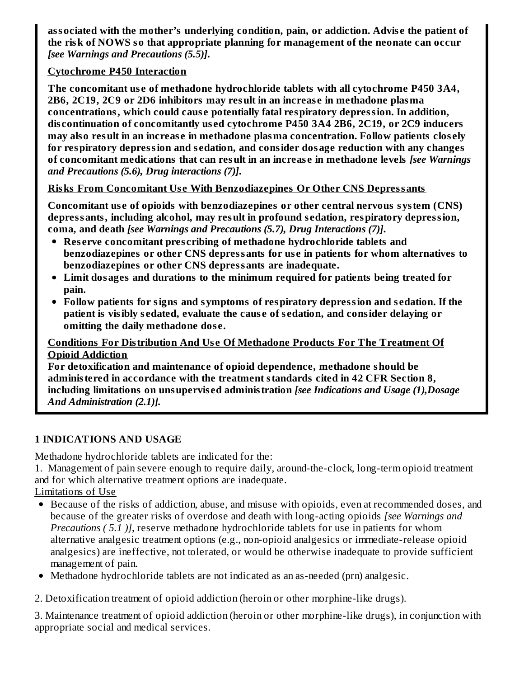**associated with the mother's underlying condition, pain, or addiction. Advis e the patient of the risk of NOWS so that appropriate planning for management of the neonate can occur** *[see Warnings and Precautions (5.5)]***.**

### **Cytochrome P450 Interaction**

**The concomitant us e of methadone hydrochloride tablets with all cytochrome P450 3A4, 2B6, 2C19, 2C9 or 2D6 inhibitors may result in an increas e in methadone plasma concentrations, which could caus e potentially fatal respiratory depression. In addition, dis continuation of concomitantly us ed cytochrome P450 3A4 2B6, 2C19, or 2C9 inducers may also result in an increas e in methadone plasma concentration. Follow patients clos ely for respiratory depression and s edation, and consider dosage reduction with any changes of concomitant medications that can result in an increas e in methadone levels** *[see Warnings and Precautions (5.6), Drug interactions (7)]***.**

### **Risks From Concomitant Us e With Benzodiazepines Or Other CNS Depressants**

**Concomitant us e of opioids with benzodiazepines or other central nervous system (CNS) depressants, including alcohol, may result in profound s edation, respiratory depression, coma, and death** *[see Warnings and Precautions (5.7), Drug Interactions (7)]***.**

- **Res erve concomitant pres cribing of methadone hydrochloride tablets and benzodiazepines or other CNS depressants for us e in patients for whom alternatives to benzodiazepines or other CNS depressants are inadequate.**
- **Limit dosages and durations to the minimum required for patients being treated for pain.**
- **Follow patients for signs and symptoms of respiratory depression and s edation. If the patient is visibly s edated, evaluate the caus e of s edation, and consider delaying or omitting the daily methadone dos e.**

#### **Conditions For Distribution And Us e Of Methadone Products For The Treatment Of Opioid Addiction**

**For detoxification and maintenance of opioid dependence, methadone should be administered in accordance with the treatment standards cited in 42 CFR Section 8, including limitations on unsupervis ed administration** *[see Indications and Usage (1),Dosage And Administration (2.1)].*

### **1 INDICATIONS AND USAGE**

Methadone hydrochloride tablets are indicated for the:

1. Management of pain severe enough to require daily, around-the-clock, long-term opioid treatment and for which alternative treatment options are inadequate.

Limitations of Use

- Because of the risks of addiction, abuse, and misuse with opioids, even at recommended doses, and  $\bullet$ because of the greater risks of overdose and death with long-acting opioids *[see Warnings and Precautions ( 5.1 )]*, reserve methadone hydrochloride tablets for use in patients for whom alternative analgesic treatment options (e.g., non-opioid analgesics or immediate-release opioid analgesics) are ineffective, not tolerated, or would be otherwise inadequate to provide sufficient management of pain.
- Methadone hydrochloride tablets are not indicated as an as-needed (prn) analgesic.

2. Detoxification treatment of opioid addiction (heroin or other morphine-like drugs).

3. Maintenance treatment of opioid addiction (heroin or other morphine-like drugs), in conjunction with appropriate social and medical services.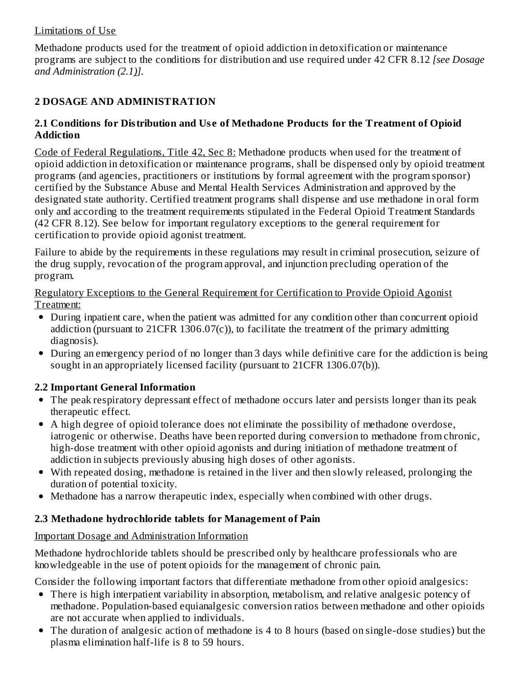### Limitations of Use

Methadone products used for the treatment of opioid addiction in detoxification or maintenance programs are subject to the conditions for distribution and use required under 42 CFR 8.12 *[see Dosage and Administration (2.1)].*

# **2 DOSAGE AND ADMINISTRATION**

### **2.1 Conditions for Distribution and Us e of Methadone Products for the Treatment of Opioid Addiction**

Code of Federal Regulations, Title 42, Sec 8: Methadone products when used for the treatment of opioid addiction in detoxification or maintenance programs, shall be dispensed only by opioid treatment programs (and agencies, practitioners or institutions by formal agreement with the program sponsor) certified by the Substance Abuse and Mental Health Services Administration and approved by the designated state authority. Certified treatment programs shall dispense and use methadone in oral form only and according to the treatment requirements stipulated in the Federal Opioid Treatment Standards (42 CFR 8.12). See below for important regulatory exceptions to the general requirement for certification to provide opioid agonist treatment.

Failure to abide by the requirements in these regulations may result in criminal prosecution, seizure of the drug supply, revocation of the program approval, and injunction precluding operation of the program.

Regulatory Exceptions to the General Requirement for Certification to Provide Opioid Agonist Treatment:

- During inpatient care, when the patient was admitted for any condition other than concurrent opioid addiction (pursuant to 21CFR 1306.07 $(c)$ ), to facilitate the treatment of the primary admitting diagnosis).
- During an emergency period of no longer than 3 days while definitive care for the addiction is being sought in an appropriately licensed facility (pursuant to 21CFR 1306.07(b)).

### **2.2 Important General Information**

- The peak respiratory depressant effect of methadone occurs later and persists longer than its peak therapeutic effect.
- A high degree of opioid tolerance does not eliminate the possibility of methadone overdose, iatrogenic or otherwise. Deaths have been reported during conversion to methadone from chronic, high-dose treatment with other opioid agonists and during initiation of methadone treatment of addiction in subjects previously abusing high doses of other agonists.
- With repeated dosing, methadone is retained in the liver and then slowly released, prolonging the duration of potential toxicity.
- Methadone has a narrow therapeutic index, especially when combined with other drugs.

### **2.3 Methadone hydrochloride tablets for Management of Pain**

### Important Dosage and Administration Information

Methadone hydrochloride tablets should be prescribed only by healthcare professionals who are knowledgeable in the use of potent opioids for the management of chronic pain.

Consider the following important factors that differentiate methadone from other opioid analgesics:

- There is high interpatient variability in absorption, metabolism, and relative analgesic potency of methadone. Population-based equianalgesic conversion ratios between methadone and other opioids are not accurate when applied to individuals.
- The duration of analgesic action of methadone is 4 to 8 hours (based on single-dose studies) but the plasma elimination half-life is 8 to 59 hours.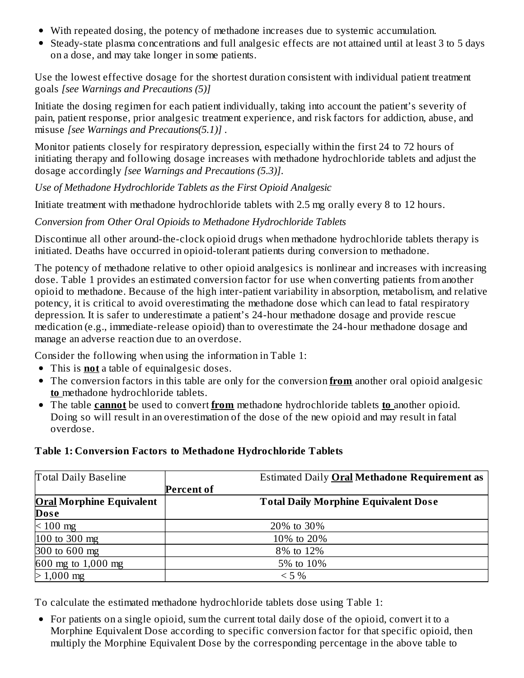- With repeated dosing, the potency of methadone increases due to systemic accumulation.
- Steady-state plasma concentrations and full analgesic effects are not attained until at least 3 to 5 days on a dose, and may take longer in some patients.

Use the lowest effective dosage for the shortest duration consistent with individual patient treatment goals *[see Warnings and Precautions (5)]*

Initiate the dosing regimen for each patient individually, taking into account the patient's severity of pain, patient response, prior analgesic treatment experience, and risk factors for addiction, abuse, and misuse *[see Warnings and Precautions(5.1)]* .

Monitor patients closely for respiratory depression, especially within the first 24 to 72 hours of initiating therapy and following dosage increases with methadone hydrochloride tablets and adjust the dosage accordingly *[see Warnings and Precautions (5.3)]*.

*Use of Methadone Hydrochloride Tablets as the First Opioid Analgesic*

Initiate treatment with methadone hydrochloride tablets with 2.5 mg orally every 8 to 12 hours.

*Conversion from Other Oral Opioids to Methadone Hydrochloride Tablets*

Discontinue all other around-the-clock opioid drugs when methadone hydrochloride tablets therapy is initiated. Deaths have occurred in opioid-tolerant patients during conversion to methadone.

The potency of methadone relative to other opioid analgesics is nonlinear and increases with increasing dose. Table 1 provides an estimated conversion factor for use when converting patients from another opioid to methadone. Because of the high inter-patient variability in absorption, metabolism, and relative potency, it is critical to avoid overestimating the methadone dose which can lead to fatal respiratory depression. It is safer to underestimate a patient's 24-hour methadone dosage and provide rescue medication (e.g., immediate-release opioid) than to overestimate the 24-hour methadone dosage and manage an adverse reaction due to an overdose.

Consider the following when using the information in Table 1:

- This is **not** a table of equinalgesic doses.
- The conversion factors in this table are only for the conversion **from** another oral opioid analgesic **to** methadone hydrochloride tablets.
- The table **cannot** be used to convert **from** methadone hydrochloride tablets **to** another opioid. Doing so will result in an overestimation of the dose of the new opioid and may result in fatal overdose.

### **Table 1: Conversion Factors to Methadone Hydrochloride Tablets**

| <b>Total Daily Baseline</b>     | <b>Estimated Daily Oral Methadone Requirement as</b> |
|---------------------------------|------------------------------------------------------|
|                                 | <b>Percent of</b>                                    |
| <b>Oral Morphine Equivalent</b> | <b>Total Daily Morphine Equivalent Dose</b>          |
| <b>Dose</b>                     |                                                      |
| $< 100$ mg                      | 20% to 30%                                           |
| 100 to 300 mg                   | 10% to 20%                                           |
| 300 to 600 mg                   | 8% to 12%                                            |
| 600 mg to 1,000 mg              | 5% to 10%                                            |
| $> 1,000$ mg                    | $< 5\%$                                              |

To calculate the estimated methadone hydrochloride tablets dose using Table 1:

For patients on a single opioid, sum the current total daily dose of the opioid, convert it to a Morphine Equivalent Dose according to specific conversion factor for that specific opioid, then multiply the Morphine Equivalent Dose by the corresponding percentage in the above table to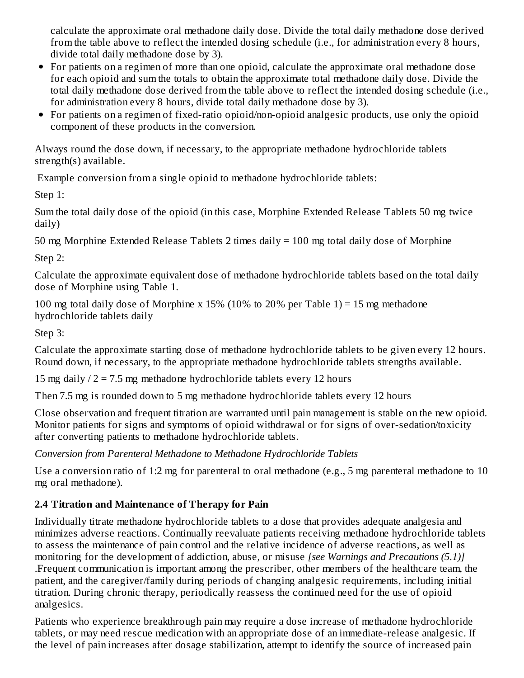calculate the approximate oral methadone daily dose. Divide the total daily methadone dose derived from the table above to reflect the intended dosing schedule (i.e., for administration every 8 hours, divide total daily methadone dose by 3).

- For patients on a regimen of more than one opioid, calculate the approximate oral methadone dose for each opioid and sum the totals to obtain the approximate total methadone daily dose. Divide the total daily methadone dose derived from the table above to reflect the intended dosing schedule (i.e., for administration every 8 hours, divide total daily methadone dose by 3).
- For patients on a regimen of fixed-ratio opioid/non-opioid analgesic products, use only the opioid component of these products in the conversion.

Always round the dose down, if necessary, to the appropriate methadone hydrochloride tablets strength(s) available.

Example conversion from a single opioid to methadone hydrochloride tablets:

Step 1:

Sum the total daily dose of the opioid (in this case, Morphine Extended Release Tablets 50 mg twice daily)

50 mg Morphine Extended Release Tablets 2 times daily = 100 mg total daily dose of Morphine

Step 2:

Calculate the approximate equivalent dose of methadone hydrochloride tablets based on the total daily dose of Morphine using Table 1.

100 mg total daily dose of Morphine x 15% (10% to 20% per Table 1) = 15 mg methadone hydrochloride tablets daily

Step 3:

Calculate the approximate starting dose of methadone hydrochloride tablets to be given every 12 hours. Round down, if necessary, to the appropriate methadone hydrochloride tablets strengths available.

15 mg daily  $/2 = 7.5$  mg methadone hydrochloride tablets every 12 hours

Then 7.5 mg is rounded down to 5 mg methadone hydrochloride tablets every 12 hours

Close observation and frequent titration are warranted until pain management is stable on the new opioid. Monitor patients for signs and symptoms of opioid withdrawal or for signs of over-sedation/toxicity after converting patients to methadone hydrochloride tablets.

*Conversion from Parenteral Methadone to Methadone Hydrochloride Tablets*

Use a conversion ratio of 1:2 mg for parenteral to oral methadone (e.g., 5 mg parenteral methadone to 10 mg oral methadone).

# **2.4 Titration and Maintenance of Therapy for Pain**

Individually titrate methadone hydrochloride tablets to a dose that provides adequate analgesia and minimizes adverse reactions. Continually reevaluate patients receiving methadone hydrochloride tablets to assess the maintenance of pain control and the relative incidence of adverse reactions, as well as monitoring for the development of addiction, abuse, or misuse *[see Warnings and Precautions (5.1)]* .Frequent communication is important among the prescriber, other members of the healthcare team, the patient, and the caregiver/family during periods of changing analgesic requirements, including initial titration. During chronic therapy, periodically reassess the continued need for the use of opioid analgesics.

Patients who experience breakthrough pain may require a dose increase of methadone hydrochloride tablets, or may need rescue medication with an appropriate dose of an immediate-release analgesic. If the level of pain increases after dosage stabilization, attempt to identify the source of increased pain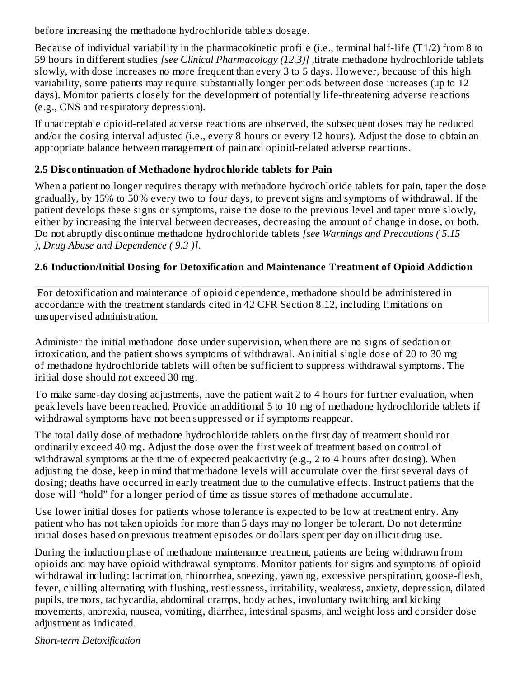before increasing the methadone hydrochloride tablets dosage.

Because of individual variability in the pharmacokinetic profile (i.e., terminal half-life (T1/2) from 8 to 59 hours in different studies *[see Clinical Pharmacology (12.3)]* ,titrate methadone hydrochloride tablets slowly, with dose increases no more frequent than every 3 to 5 days. However, because of this high variability, some patients may require substantially longer periods between dose increases (up to 12 days). Monitor patients closely for the development of potentially life-threatening adverse reactions (e.g., CNS and respiratory depression).

If unacceptable opioid-related adverse reactions are observed, the subsequent doses may be reduced and/or the dosing interval adjusted (i.e., every 8 hours or every 12 hours). Adjust the dose to obtain an appropriate balance between management of pain and opioid-related adverse reactions.

### **2.5 Dis continuation of Methadone hydrochloride tablets for Pain**

When a patient no longer requires therapy with methadone hydrochloride tablets for pain, taper the dose gradually, by 15% to 50% every two to four days, to prevent signs and symptoms of withdrawal. If the patient develops these signs or symptoms, raise the dose to the previous level and taper more slowly, either by increasing the interval between decreases, decreasing the amount of change in dose, or both. Do not abruptly discontinue methadone hydrochloride tablets *[see Warnings and Precautions ( 5.15 ), Drug Abuse and Dependence ( 9.3 )]*.

### **2.6 Induction/Initial Dosing for Detoxification and Maintenance Treatment of Opioid Addiction**

For detoxification and maintenance of opioid dependence, methadone should be administered in accordance with the treatment standards cited in 42 CFR Section 8.12, including limitations on unsupervised administration.

Administer the initial methadone dose under supervision, when there are no signs of sedation or intoxication, and the patient shows symptoms of withdrawal. An initial single dose of 20 to 30 mg of methadone hydrochloride tablets will often be sufficient to suppress withdrawal symptoms. The initial dose should not exceed 30 mg.

To make same-day dosing adjustments, have the patient wait 2 to 4 hours for further evaluation, when peak levels have been reached. Provide an additional 5 to 10 mg of methadone hydrochloride tablets if withdrawal symptoms have not been suppressed or if symptoms reappear.

The total daily dose of methadone hydrochloride tablets on the first day of treatment should not ordinarily exceed 40 mg. Adjust the dose over the first week of treatment based on control of withdrawal symptoms at the time of expected peak activity (e.g., 2 to 4 hours after dosing). When adjusting the dose, keep in mind that methadone levels will accumulate over the first several days of dosing; deaths have occurred in early treatment due to the cumulative effects. Instruct patients that the dose will "hold" for a longer period of time as tissue stores of methadone accumulate.

Use lower initial doses for patients whose tolerance is expected to be low at treatment entry. Any patient who has not taken opioids for more than 5 days may no longer be tolerant. Do not determine initial doses based on previous treatment episodes or dollars spent per day on illicit drug use.

During the induction phase of methadone maintenance treatment, patients are being withdrawn from opioids and may have opioid withdrawal symptoms. Monitor patients for signs and symptoms of opioid withdrawal including: lacrimation, rhinorrhea, sneezing, yawning, excessive perspiration, goose-flesh, fever, chilling alternating with flushing, restlessness, irritability, weakness, anxiety, depression, dilated pupils, tremors, tachycardia, abdominal cramps, body aches, involuntary twitching and kicking movements, anorexia, nausea, vomiting, diarrhea, intestinal spasms, and weight loss and consider dose adjustment as indicated.

*Short-term Detoxification*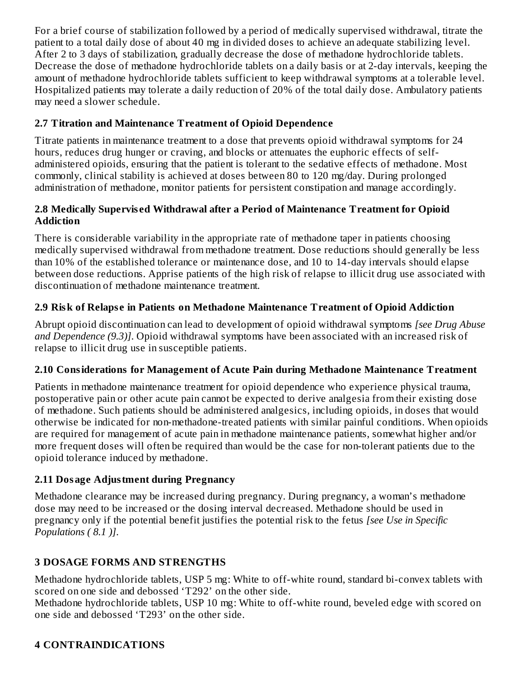For a brief course of stabilization followed by a period of medically supervised withdrawal, titrate the patient to a total daily dose of about 40 mg in divided doses to achieve an adequate stabilizing level. After 2 to 3 days of stabilization, gradually decrease the dose of methadone hydrochloride tablets. Decrease the dose of methadone hydrochloride tablets on a daily basis or at 2-day intervals, keeping the amount of methadone hydrochloride tablets sufficient to keep withdrawal symptoms at a tolerable level. Hospitalized patients may tolerate a daily reduction of 20% of the total daily dose. Ambulatory patients may need a slower schedule.

### **2.7 Titration and Maintenance Treatment of Opioid Dependence**

Titrate patients in maintenance treatment to a dose that prevents opioid withdrawal symptoms for 24 hours, reduces drug hunger or craving, and blocks or attenuates the euphoric effects of selfadministered opioids, ensuring that the patient is tolerant to the sedative effects of methadone. Most commonly, clinical stability is achieved at doses between 80 to 120 mg/day. During prolonged administration of methadone, monitor patients for persistent constipation and manage accordingly.

### **2.8 Medically Supervis ed Withdrawal after a Period of Maintenance Treatment for Opioid Addiction**

There is considerable variability in the appropriate rate of methadone taper in patients choosing medically supervised withdrawal from methadone treatment. Dose reductions should generally be less than 10% of the established tolerance or maintenance dose, and 10 to 14-day intervals should elapse between dose reductions. Apprise patients of the high risk of relapse to illicit drug use associated with discontinuation of methadone maintenance treatment.

### **2.9 Risk of Relaps e in Patients on Methadone Maintenance Treatment of Opioid Addiction**

Abrupt opioid discontinuation can lead to development of opioid withdrawal symptoms *[see Drug Abuse and Dependence (9.3)]*. Opioid withdrawal symptoms have been associated with an increased risk of relapse to illicit drug use in susceptible patients.

### **2.10 Considerations for Management of Acute Pain during Methadone Maintenance Treatment**

Patients in methadone maintenance treatment for opioid dependence who experience physical trauma, postoperative pain or other acute pain cannot be expected to derive analgesia from their existing dose of methadone. Such patients should be administered analgesics, including opioids, in doses that would otherwise be indicated for non-methadone-treated patients with similar painful conditions. When opioids are required for management of acute pain in methadone maintenance patients, somewhat higher and/or more frequent doses will often be required than would be the case for non-tolerant patients due to the opioid tolerance induced by methadone.

### **2.11 Dosage Adjustment during Pregnancy**

Methadone clearance may be increased during pregnancy. During pregnancy, a woman's methadone dose may need to be increased or the dosing interval decreased. Methadone should be used in pregnancy only if the potential benefit justifies the potential risk to the fetus *[see Use in Specific Populations ( 8.1 )]*.

## **3 DOSAGE FORMS AND STRENGTHS**

Methadone hydrochloride tablets, USP 5 mg: White to off-white round, standard bi-convex tablets with scored on one side and debossed 'T292' on the other side.

Methadone hydrochloride tablets, USP 10 mg: White to off-white round, beveled edge with scored on one side and debossed 'T293' on the other side.

## **4 CONTRAINDICATIONS**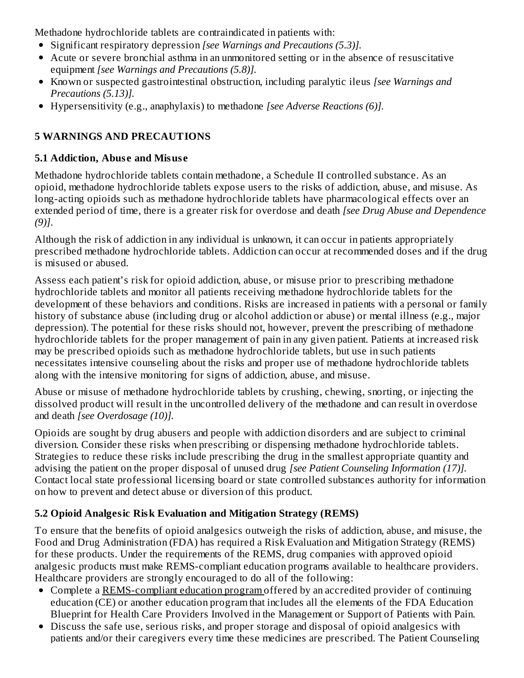Methadone hydrochloride tablets are contraindicated in patients with:

- Significant respiratory depression *[see Warnings and Precautions (5.3)].*
- Acute or severe bronchial asthma in an unmonitored setting or in the absence of resuscitative equipment *[see Warnings and Precautions (5.8)].*
- Known or suspected gastrointestinal obstruction, including paralytic ileus *[see Warnings and Precautions (5.13)].*
- Hypersensitivity (e.g., anaphylaxis) to methadone *[see Adverse Reactions (6)].*

### **5 WARNINGS AND PRECAUTIONS**

### **5.1 Addiction, Abus e and Misus e**

Methadone hydrochloride tablets contain methadone, a Schedule II controlled substance. As an opioid, methadone hydrochloride tablets expose users to the risks of addiction, abuse, and misuse*.* As long-acting opioids such as methadone hydrochloride tablets have pharmacological effects over an extended period of time, there is a greater risk for overdose and death *[see Drug Abuse and Dependence (9)]*.

Although the risk of addiction in any individual is unknown, it can occur in patients appropriately prescribed methadone hydrochloride tablets. Addiction can occur at recommended doses and if the drug is misused or abused.

Assess each patient's risk for opioid addiction, abuse, or misuse prior to prescribing methadone hydrochloride tablets and monitor all patients receiving methadone hydrochloride tablets for the development of these behaviors and conditions. Risks are increased in patients with a personal or family history of substance abuse (including drug or alcohol addiction or abuse) or mental illness (e.g., major depression). The potential for these risks should not, however, prevent the prescribing of methadone hydrochloride tablets for the proper management of pain in any given patient. Patients at increased risk may be prescribed opioids such as methadone hydrochloride tablets, but use in such patients necessitates intensive counseling about the risks and proper use of methadone hydrochloride tablets along with the intensive monitoring for signs of addiction, abuse, and misuse.

Abuse or misuse of methadone hydrochloride tablets by crushing, chewing, snorting, or injecting the dissolved product will result in the uncontrolled delivery of the methadone and can result in overdose and death *[see Overdosage (10)].*

Opioids are sought by drug abusers and people with addiction disorders and are subject to criminal diversion. Consider these risks when prescribing or dispensing methadone hydrochloride tablets. Strategies to reduce these risks include prescribing the drug in the smallest appropriate quantity and advising the patient on the proper disposal of unused drug *[see Patient Counseling Information (17)].* Contact local state professional licensing board or state controlled substances authority for information on how to prevent and detect abuse or diversion of this product.

### **5.2 Opioid Analgesic Risk Evaluation and Mitigation Strategy (REMS)**

To ensure that the benefits of opioid analgesics outweigh the risks of addiction, abuse, and misuse, the Food and Drug Administration (FDA) has required a Risk Evaluation and Mitigation Strategy (REMS) for these products. Under the requirements of the REMS, drug companies with approved opioid analgesic products must make REMS-compliant education programs available to healthcare providers. Healthcare providers are strongly encouraged to do all of the following:

- Complete a REMS-compliant education program offered by an accredited provider of continuing education (CE) or another education program that includes all the elements of the FDA Education Blueprint for Health Care Providers Involved in the Management or Support of Patients with Pain.
- Discuss the safe use, serious risks, and proper storage and disposal of opioid analgesics with patients and/or their caregivers every time these medicines are prescribed. The Patient Counseling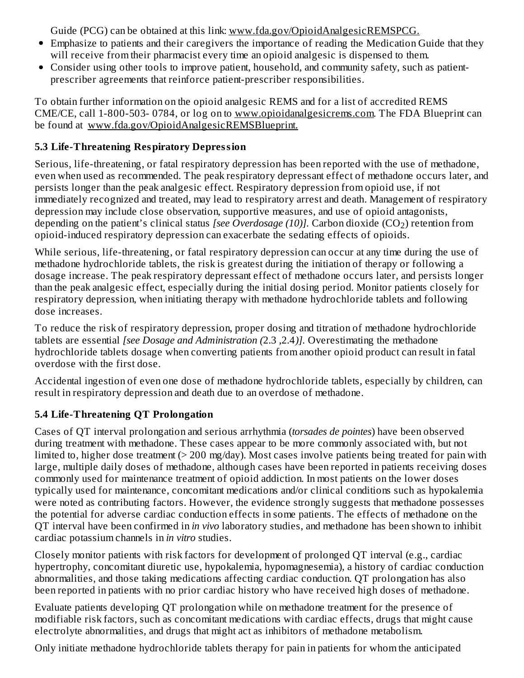Guide (PCG) can be obtained at this link: www.fda.gov/OpioidAnalgesicREMSPCG.

- Emphasize to patients and their caregivers the importance of reading the Medication Guide that they will receive from their pharmacist every time an opioid analgesic is dispensed to them.
- Consider using other tools to improve patient, household, and community safety, such as patientprescriber agreements that reinforce patient-prescriber responsibilities.

To obtain further information on the opioid analgesic REMS and for a list of accredited REMS CME/CE, call 1-800-503- 0784, or log on to www.opioidanalgesicrems.com. The FDA Blueprint can be found at www.fda.gov/OpioidAnalgesicREMSBlueprint.

### **5.3 Life-Threatening Respiratory Depression**

Serious, life-threatening, or fatal respiratory depression has been reported with the use of methadone, even when used as recommended. The peak respiratory depressant effect of methadone occurs later, and persists longer than the peak analgesic effect. Respiratory depression from opioid use, if not immediately recognized and treated, may lead to respiratory arrest and death. Management of respiratory depression may include close observation, supportive measures, and use of opioid antagonists, depending on the patient's clinical status *[see Overdosage (10)]*. Carbon dioxide (CO<sub>2</sub>) retention from opioid-induced respiratory depression can exacerbate the sedating effects of opioids.

While serious, life-threatening, or fatal respiratory depression can occur at any time during the use of methadone hydrochloride tablets, the risk is greatest during the initiation of therapy or following a dosage increase. The peak respiratory depressant effect of methadone occurs later, and persists longer than the peak analgesic effect, especially during the initial dosing period. Monitor patients closely for respiratory depression, when initiating therapy with methadone hydrochloride tablets and following dose increases.

To reduce the risk of respiratory depression, proper dosing and titration of methadone hydrochloride tablets are essential *[see Dosage and Administration (*2.3 *,*2.4*)].* Overestimating the methadone hydrochloride tablets dosage when converting patients from another opioid product can result in fatal overdose with the first dose.

Accidental ingestion of even one dose of methadone hydrochloride tablets, especially by children, can result in respiratory depression and death due to an overdose of methadone.

# **5.4 Life-Threatening QT Prolongation**

Cases of QT interval prolongation and serious arrhythmia (*torsades de pointes*) have been observed during treatment with methadone. These cases appear to be more commonly associated with, but not limited to, higher dose treatment (> 200 mg/day). Most cases involve patients being treated for pain with large, multiple daily doses of methadone, although cases have been reported in patients receiving doses commonly used for maintenance treatment of opioid addiction. In most patients on the lower doses typically used for maintenance, concomitant medications and/or clinical conditions such as hypokalemia were noted as contributing factors. However, the evidence strongly suggests that methadone possesses the potential for adverse cardiac conduction effects in some patients. The effects of methadone on the QT interval have been confirmed in *in vivo* laboratory studies, and methadone has been shown to inhibit cardiac potassium channels in *in vitro* studies.

Closely monitor patients with risk factors for development of prolonged QT interval (e.g., cardiac hypertrophy, concomitant diuretic use, hypokalemia, hypomagnesemia), a history of cardiac conduction abnormalities, and those taking medications affecting cardiac conduction. QT prolongation has also been reported in patients with no prior cardiac history who have received high doses of methadone.

Evaluate patients developing QT prolongation while on methadone treatment for the presence of modifiable risk factors, such as concomitant medications with cardiac effects, drugs that might cause electrolyte abnormalities, and drugs that might act as inhibitors of methadone metabolism.

Only initiate methadone hydrochloride tablets therapy for pain in patients for whom the anticipated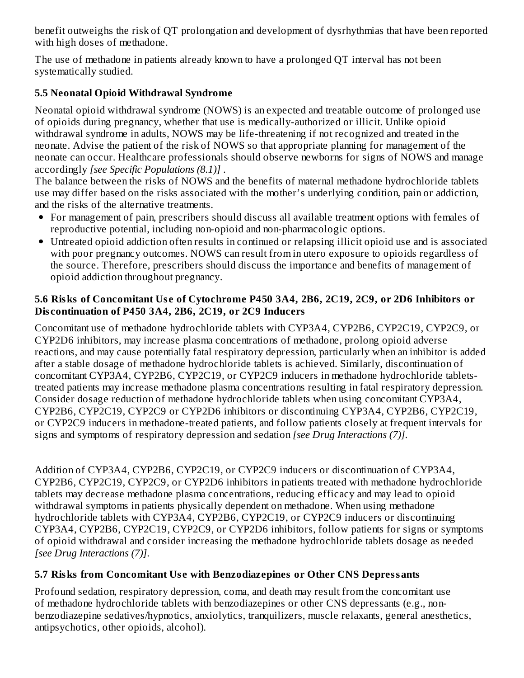benefit outweighs the risk of QT prolongation and development of dysrhythmias that have been reported with high doses of methadone.

The use of methadone in patients already known to have a prolonged QT interval has not been systematically studied.

### **5.5 Neonatal Opioid Withdrawal Syndrome**

Neonatal opioid withdrawal syndrome (NOWS) is an expected and treatable outcome of prolonged use of opioids during pregnancy, whether that use is medically-authorized or illicit. Unlike opioid withdrawal syndrome in adults, NOWS may be life-threatening if not recognized and treated in the neonate. Advise the patient of the risk of NOWS so that appropriate planning for management of the neonate can occur. Healthcare professionals should observe newborns for signs of NOWS and manage accordingly *[see Specific Populations (8.1)]* .

The balance between the risks of NOWS and the benefits of maternal methadone hydrochloride tablets use may differ based on the risks associated with the mother's underlying condition, pain or addiction, and the risks of the alternative treatments.

- For management of pain, prescribers should discuss all available treatment options with females of reproductive potential, including non-opioid and non-pharmacologic options.
- Untreated opioid addiction often results in continued or relapsing illicit opioid use and is associated with poor pregnancy outcomes. NOWS can result from in utero exposure to opioids regardless of the source. Therefore, prescribers should discuss the importance and benefits of management of opioid addiction throughout pregnancy.

### **5.6 Risks of Concomitant Us e of Cytochrome P450 3A4, 2B6, 2C19, 2C9, or 2D6 Inhibitors or Dis continuation of P450 3A4, 2B6, 2C19, or 2C9 Inducers**

Concomitant use of methadone hydrochloride tablets with CYP3A4, CYP2B6, CYP2C19, CYP2C9, or CYP2D6 inhibitors, may increase plasma concentrations of methadone, prolong opioid adverse reactions, and may cause potentially fatal respiratory depression, particularly when an inhibitor is added after a stable dosage of methadone hydrochloride tablets is achieved. Similarly, discontinuation of concomitant CYP3A4, CYP2B6, CYP2C19, or CYP2C9 inducers in methadone hydrochloride tabletstreated patients may increase methadone plasma concentrations resulting in fatal respiratory depression. Consider dosage reduction of methadone hydrochloride tablets when using concomitant CYP3A4, CYP2B6, CYP2C19, CYP2C9 or CYP2D6 inhibitors or discontinuing CYP3A4, CYP2B6, CYP2C19, or CYP2C9 inducers in methadone-treated patients, and follow patients closely at frequent intervals for signs and symptoms of respiratory depression and sedation *[see Drug Interactions (7)]*.

Addition of CYP3A4, CYP2B6, CYP2C19, or CYP2C9 inducers or discontinuation of CYP3A4, CYP2B6, CYP2C19, CYP2C9, or CYP2D6 inhibitors in patients treated with methadone hydrochloride tablets may decrease methadone plasma concentrations, reducing efficacy and may lead to opioid withdrawal symptoms in patients physically dependent on methadone. When using methadone hydrochloride tablets with CYP3A4, CYP2B6, CYP2C19, or CYP2C9 inducers or discontinuing CYP3A4, CYP2B6, CYP2C19, CYP2C9, or CYP2D6 inhibitors, follow patients for signs or symptoms of opioid withdrawal and consider increasing the methadone hydrochloride tablets dosage as needed *[see Drug Interactions (7)]*.

## **5.7 Risks from Concomitant Us e with Benzodiazepines or Other CNS Depressants**

Profound sedation, respiratory depression, coma, and death may result from the concomitant use of methadone hydrochloride tablets with benzodiazepines or other CNS depressants (e.g., nonbenzodiazepine sedatives/hypnotics, anxiolytics, tranquilizers, muscle relaxants, general anesthetics, antipsychotics, other opioids, alcohol).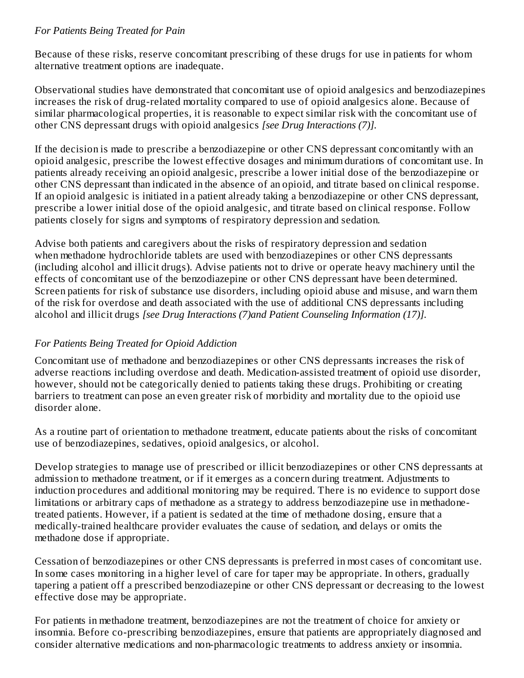### *For Patients Being Treated for Pain*

Because of these risks, reserve concomitant prescribing of these drugs for use in patients for whom alternative treatment options are inadequate.

Observational studies have demonstrated that concomitant use of opioid analgesics and benzodiazepines increases the risk of drug-related mortality compared to use of opioid analgesics alone. Because of similar pharmacological properties, it is reasonable to expect similar risk with the concomitant use of other CNS depressant drugs with opioid analgesics *[see Drug Interactions (7)].*

If the decision is made to prescribe a benzodiazepine or other CNS depressant concomitantly with an opioid analgesic, prescribe the lowest effective dosages and minimum durations of concomitant use. In patients already receiving an opioid analgesic, prescribe a lower initial dose of the benzodiazepine or other CNS depressant than indicated in the absence of an opioid, and titrate based on clinical response. If an opioid analgesic is initiated in a patient already taking a benzodiazepine or other CNS depressant, prescribe a lower initial dose of the opioid analgesic, and titrate based on clinical response. Follow patients closely for signs and symptoms of respiratory depression and sedation.

Advise both patients and caregivers about the risks of respiratory depression and sedation when methadone hydrochloride tablets are used with benzodiazepines or other CNS depressants (including alcohol and illicit drugs). Advise patients not to drive or operate heavy machinery until the effects of concomitant use of the benzodiazepine or other CNS depressant have been determined. Screen patients for risk of substance use disorders, including opioid abuse and misuse, and warn them of the risk for overdose and death associated with the use of additional CNS depressants including alcohol and illicit drugs *[see Drug Interactions (7)and Patient Counseling Information (17)].*

### *For Patients Being Treated for Opioid Addiction*

Concomitant use of methadone and benzodiazepines or other CNS depressants increases the risk of adverse reactions including overdose and death. Medication-assisted treatment of opioid use disorder, however, should not be categorically denied to patients taking these drugs. Prohibiting or creating barriers to treatment can pose an even greater risk of morbidity and mortality due to the opioid use disorder alone.

As a routine part of orientation to methadone treatment, educate patients about the risks of concomitant use of benzodiazepines, sedatives, opioid analgesics, or alcohol.

Develop strategies to manage use of prescribed or illicit benzodiazepines or other CNS depressants at admission to methadone treatment, or if it emerges as a concern during treatment. Adjustments to induction procedures and additional monitoring may be required. There is no evidence to support dose limitations or arbitrary caps of methadone as a strategy to address benzodiazepine use in methadonetreated patients. However, if a patient is sedated at the time of methadone dosing, ensure that a medically-trained healthcare provider evaluates the cause of sedation, and delays or omits the methadone dose if appropriate.

Cessation of benzodiazepines or other CNS depressants is preferred in most cases of concomitant use. In some cases monitoring in a higher level of care for taper may be appropriate. In others, gradually tapering a patient off a prescribed benzodiazepine or other CNS depressant or decreasing to the lowest effective dose may be appropriate.

For patients in methadone treatment, benzodiazepines are not the treatment of choice for anxiety or insomnia. Before co-prescribing benzodiazepines, ensure that patients are appropriately diagnosed and consider alternative medications and non-pharmacologic treatments to address anxiety or insomnia.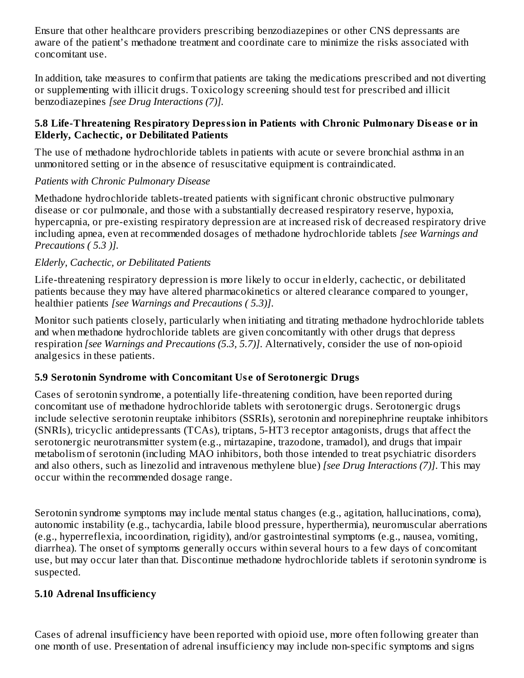Ensure that other healthcare providers prescribing benzodiazepines or other CNS depressants are aware of the patient's methadone treatment and coordinate care to minimize the risks associated with concomitant use.

In addition, take measures to confirm that patients are taking the medications prescribed and not diverting or supplementing with illicit drugs. Toxicology screening should test for prescribed and illicit benzodiazepines *[see Drug Interactions (7)].*

### **5.8 Life-Threatening Respiratory Depression in Patients with Chronic Pulmonary Dis eas e or in Elderly, Cachectic, or Debilitated Patients**

The use of methadone hydrochloride tablets in patients with acute or severe bronchial asthma in an unmonitored setting or in the absence of resuscitative equipment is contraindicated.

### *Patients with Chronic Pulmonary Disease*

Methadone hydrochloride tablets-treated patients with significant chronic obstructive pulmonary disease or cor pulmonale, and those with a substantially decreased respiratory reserve, hypoxia, hypercapnia, or pre-existing respiratory depression are at increased risk of decreased respiratory drive including apnea, even at recommended dosages of methadone hydrochloride tablets *[see Warnings and Precautions ( 5.3 )].*

### *Elderly, Cachectic, or Debilitated Patients*

Life-threatening respiratory depression is more likely to occur in elderly, cachectic, or debilitated patients because they may have altered pharmacokinetics or altered clearance compared to younger, healthier patients *[see Warnings and Precautions ( 5.3)]*.

Monitor such patients closely, particularly when initiating and titrating methadone hydrochloride tablets and when methadone hydrochloride tablets are given concomitantly with other drugs that depress respiration *[see Warnings and Precautions (5.3, 5.7)]*. Alternatively, consider the use of non-opioid analgesics in these patients.

### **5.9 Serotonin Syndrome with Concomitant Us e of Serotonergic Drugs**

Cases of serotonin syndrome, a potentially life-threatening condition, have been reported during concomitant use of methadone hydrochloride tablets with serotonergic drugs. Serotonergic drugs include selective serotonin reuptake inhibitors (SSRIs), serotonin and norepinephrine reuptake inhibitors (SNRIs), tricyclic antidepressants (TCAs), triptans, 5-HT3 receptor antagonists, drugs that affect the serotonergic neurotransmitter system (e.g., mirtazapine, trazodone, tramadol), and drugs that impair metabolism of serotonin (including MAO inhibitors, both those intended to treat psychiatric disorders and also others, such as linezolid and intravenous methylene blue) *[see Drug Interactions (7)]*. This may occur within the recommended dosage range.

Serotonin syndrome symptoms may include mental status changes (e.g., agitation, hallucinations, coma), autonomic instability (e.g., tachycardia, labile blood pressure, hyperthermia), neuromuscular aberrations (e.g., hyperreflexia, incoordination, rigidity), and/or gastrointestinal symptoms (e.g., nausea, vomiting, diarrhea). The onset of symptoms generally occurs within several hours to a few days of concomitant use, but may occur later than that. Discontinue methadone hydrochloride tablets if serotonin syndrome is suspected.

### **5.10 Adrenal Insufficiency**

Cases of adrenal insufficiency have been reported with opioid use, more often following greater than one month of use. Presentation of adrenal insufficiency may include non-specific symptoms and signs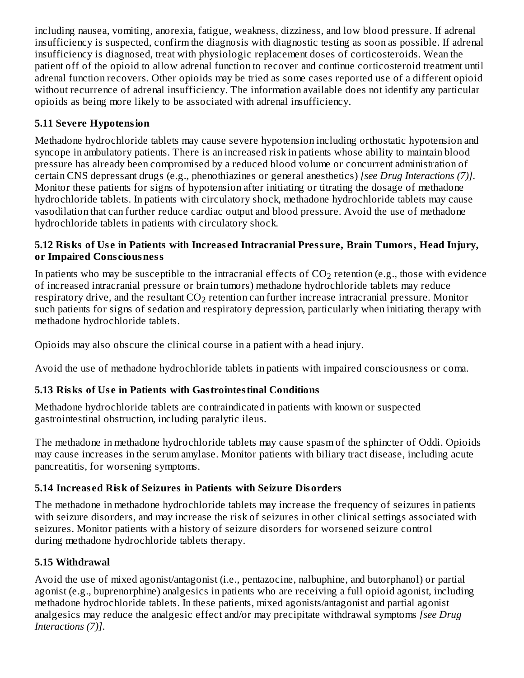including nausea, vomiting, anorexia, fatigue, weakness, dizziness, and low blood pressure. If adrenal insufficiency is suspected, confirm the diagnosis with diagnostic testing as soon as possible. If adrenal insufficiency is diagnosed, treat with physiologic replacement doses of corticosteroids. Wean the patient off of the opioid to allow adrenal function to recover and continue corticosteroid treatment until adrenal function recovers. Other opioids may be tried as some cases reported use of a different opioid without recurrence of adrenal insufficiency. The information available does not identify any particular opioids as being more likely to be associated with adrenal insufficiency.

### **5.11 Severe Hypotension**

Methadone hydrochloride tablets may cause severe hypotension including orthostatic hypotension and syncope in ambulatory patients. There is an increased risk in patients whose ability to maintain blood pressure has already been compromised by a reduced blood volume or concurrent administration of certain CNS depressant drugs (e.g., phenothiazines or general anesthetics) *[see Drug Interactions (7)]*. Monitor these patients for signs of hypotension after initiating or titrating the dosage of methadone hydrochloride tablets. In patients with circulatory shock, methadone hydrochloride tablets may cause vasodilation that can further reduce cardiac output and blood pressure. Avoid the use of methadone hydrochloride tablets in patients with circulatory shock.

### **5.12 Risks of Us e in Patients with Increas ed Intracranial Pressure, Brain Tumors, Head Injury, or Impaired Cons ciousness**

In patients who may be susceptible to the intracranial effects of  $\mathrm{CO}_2$  retention (e.g., those with evidence of increased intracranial pressure or brain tumors) methadone hydrochloride tablets may reduce respiratory drive, and the resultant  $\mathrm{CO}_2$  retention can further increase intracranial pressure. Monitor such patients for signs of sedation and respiratory depression, particularly when initiating therapy with methadone hydrochloride tablets.

Opioids may also obscure the clinical course in a patient with a head injury.

Avoid the use of methadone hydrochloride tablets in patients with impaired consciousness or coma.

## **5.13 Risks of Us e in Patients with Gastrointestinal Conditions**

Methadone hydrochloride tablets are contraindicated in patients with known or suspected gastrointestinal obstruction, including paralytic ileus.

The methadone in methadone hydrochloride tablets may cause spasm of the sphincter of Oddi. Opioids may cause increases in the serum amylase. Monitor patients with biliary tract disease, including acute pancreatitis, for worsening symptoms.

## **5.14 Increas ed Risk of Seizures in Patients with Seizure Disorders**

The methadone in methadone hydrochloride tablets may increase the frequency of seizures in patients with seizure disorders, and may increase the risk of seizures in other clinical settings associated with seizures. Monitor patients with a history of seizure disorders for worsened seizure control during methadone hydrochloride tablets therapy.

## **5.15 Withdrawal**

Avoid the use of mixed agonist/antagonist (i.e., pentazocine, nalbuphine, and butorphanol) or partial agonist (e.g., buprenorphine) analgesics in patients who are receiving a full opioid agonist, including methadone hydrochloride tablets. In these patients, mixed agonists/antagonist and partial agonist analgesics may reduce the analgesic effect and/or may precipitate withdrawal symptoms *[see Drug Interactions (7)]*.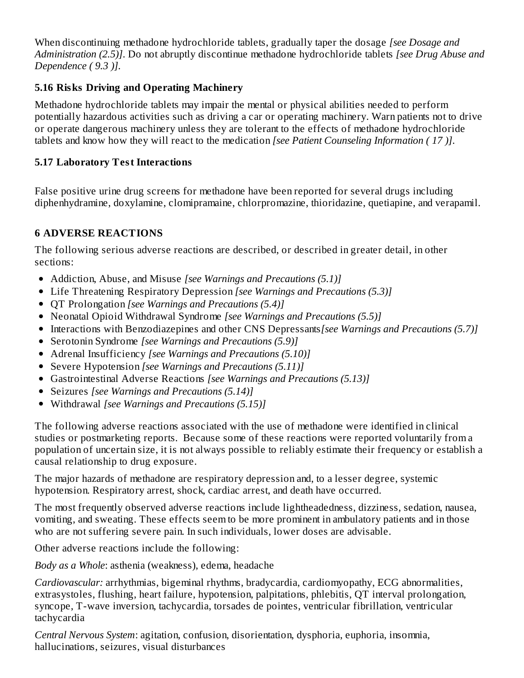When discontinuing methadone hydrochloride tablets, gradually taper the dosage *[see Dosage and Administration (2.5)]*. Do not abruptly discontinue methadone hydrochloride tablets *[see Drug Abuse and Dependence ( 9.3 )]*.

### **5.16 Risks Driving and Operating Machinery**

Methadone hydrochloride tablets may impair the mental or physical abilities needed to perform potentially hazardous activities such as driving a car or operating machinery. Warn patients not to drive or operate dangerous machinery unless they are tolerant to the effects of methadone hydrochloride tablets and know how they will react to the medication *[see Patient Counseling Information ( 17 )]*.

### **5.17 Laboratory Test Interactions**

False positive urine drug screens for methadone have been reported for several drugs including diphenhydramine, doxylamine, clomipramaine, chlorpromazine, thioridazine, quetiapine, and verapamil.

### **6 ADVERSE REACTIONS**

The following serious adverse reactions are described, or described in greater detail, in other sections:

- Addiction, Abuse, and Misuse *[see Warnings and Precautions (5.1)]*
- Life Threatening Respiratory Depression *[see Warnings and Precautions (5.3)]*
- QT Prolongation *[see Warnings and Precautions (5.4)]*
- Neonatal Opioid Withdrawal Syndrome *[see Warnings and Precautions (5.5)]*
- Interactions with Benzodiazepines and other CNS Depressants*[see Warnings and Precautions (5.7)]*
- Serotonin Syndrome *[see Warnings and Precautions (5.9)]*
- Adrenal Insufficiency *[see Warnings and Precautions (5.10)]*
- Severe Hypotension *[see Warnings and Precautions (5.11)]*
- Gastrointestinal Adverse Reactions *[see Warnings and Precautions (5.13)]*
- Seizures *[see Warnings and Precautions (5.14)]*
- Withdrawal *[see Warnings and Precautions (5.15)]*

The following adverse reactions associated with the use of methadone were identified in clinical studies or postmarketing reports. Because some of these reactions were reported voluntarily from a population of uncertain size, it is not always possible to reliably estimate their frequency or establish a causal relationship to drug exposure.

The major hazards of methadone are respiratory depression and, to a lesser degree, systemic hypotension. Respiratory arrest, shock, cardiac arrest, and death have occurred.

The most frequently observed adverse reactions include lightheadedness, dizziness, sedation, nausea, vomiting, and sweating. These effects seem to be more prominent in ambulatory patients and in those who are not suffering severe pain. In such individuals, lower doses are advisable.

Other adverse reactions include the following:

*Body as a Whole*: asthenia (weakness), edema, headache

*Cardiovascular:* arrhythmias, bigeminal rhythms, bradycardia, cardiomyopathy, ECG abnormalities, extrasystoles, flushing, heart failure, hypotension, palpitations, phlebitis, QT interval prolongation, syncope, T-wave inversion, tachycardia, torsades de pointes, ventricular fibrillation, ventricular tachycardia

*Central Nervous System*: agitation, confusion, disorientation, dysphoria, euphoria, insomnia, hallucinations, seizures, visual disturbances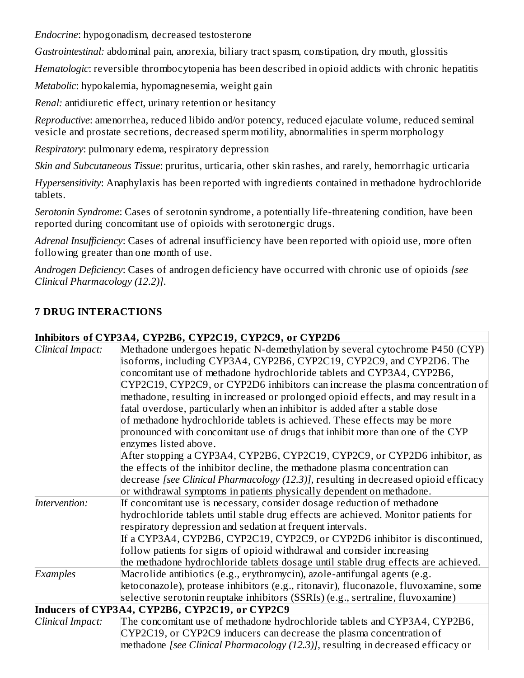*Endocrine*: hypogonadism, decreased testosterone

*Gastrointestinal:* abdominal pain, anorexia, biliary tract spasm, constipation, dry mouth, glossitis

*Hematologic*: reversible thrombocytopenia has been described in opioid addicts with chronic hepatitis

*Metabolic*: hypokalemia, hypomagnesemia, weight gain

*Renal:* antidiuretic effect, urinary retention or hesitancy

*Reproductive*: amenorrhea, reduced libido and/or potency, reduced ejaculate volume, reduced seminal vesicle and prostate secretions, decreased sperm motility, abnormalities in sperm morphology

*Respiratory*: pulmonary edema, respiratory depression

*Skin and Subcutaneous Tissue*: pruritus, urticaria, other skin rashes, and rarely, hemorrhagic urticaria

*Hypersensitivity*: Anaphylaxis has been reported with ingredients contained in methadone hydrochloride tablets.

*Serotonin Syndrome*: Cases of serotonin syndrome, a potentially life-threatening condition, have been reported during concomitant use of opioids with serotonergic drugs.

*Adrenal Insufficiency*: Cases of adrenal insufficiency have been reported with opioid use, more often following greater than one month of use.

*Androgen Deficiency*: Cases of androgen deficiency have occurred with chronic use of opioids *[see Clinical Pharmacology (12.2)]*.

### **7 DRUG INTERACTIONS**

|                  | Inhibitors of CYP3A4, CYP2B6, CYP2C19, CYP2C9, or CYP2D6                             |
|------------------|--------------------------------------------------------------------------------------|
| Clinical Impact: | Methadone undergoes hepatic N-demethylation by several cytochrome P450 (CYP)         |
|                  | isoforms, including CYP3A4, CYP2B6, CYP2C19, CYP2C9, and CYP2D6. The                 |
|                  | concomitant use of methadone hydrochloride tablets and CYP3A4, CYP2B6,               |
|                  | CYP2C19, CYP2C9, or CYP2D6 inhibitors can increase the plasma concentration of       |
|                  | methadone, resulting in increased or prolonged opioid effects, and may result in a   |
|                  | fatal overdose, particularly when an inhibitor is added after a stable dose          |
|                  | of methadone hydrochloride tablets is achieved. These effects may be more            |
|                  | pronounced with concomitant use of drugs that inhibit more than one of the CYP       |
|                  | enzymes listed above.                                                                |
|                  | After stopping a CYP3A4, CYP2B6, CYP2C19, CYP2C9, or CYP2D6 inhibitor, as            |
|                  | the effects of the inhibitor decline, the methadone plasma concentration can         |
|                  | decrease [see Clinical Pharmacology (12.3)], resulting in decreased opioid efficacy  |
|                  | or withdrawal symptoms in patients physically dependent on methadone.                |
| Intervention:    | If concomitant use is necessary, consider dosage reduction of methadone              |
|                  | hydrochloride tablets until stable drug effects are achieved. Monitor patients for   |
|                  | respiratory depression and sedation at frequent intervals.                           |
|                  | If a CYP3A4, CYP2B6, CYP2C19, CYP2C9, or CYP2D6 inhibitor is discontinued,           |
|                  | follow patients for signs of opioid withdrawal and consider increasing               |
|                  | the methadone hydrochloride tablets dosage until stable drug effects are achieved.   |
| Examples         | Macrolide antibiotics (e.g., erythromycin), azole-antifungal agents (e.g.            |
|                  | ketoconazole), protease inhibitors (e.g., ritonavir), fluconazole, fluvoxamine, some |
|                  | selective serotonin reuptake inhibitors (SSRIs) (e.g., sertraline, fluvoxamine)      |
|                  | Inducers of CYP3A4, CYP2B6, CYP2C19, or CYP2C9                                       |
| Clinical Impact: | The concomitant use of methadone hydrochloride tablets and CYP3A4, CYP2B6,           |
|                  | CYP2C19, or CYP2C9 inducers can decrease the plasma concentration of                 |
|                  | methadone [see Clinical Pharmacology (12.3)], resulting in decreased efficacy or     |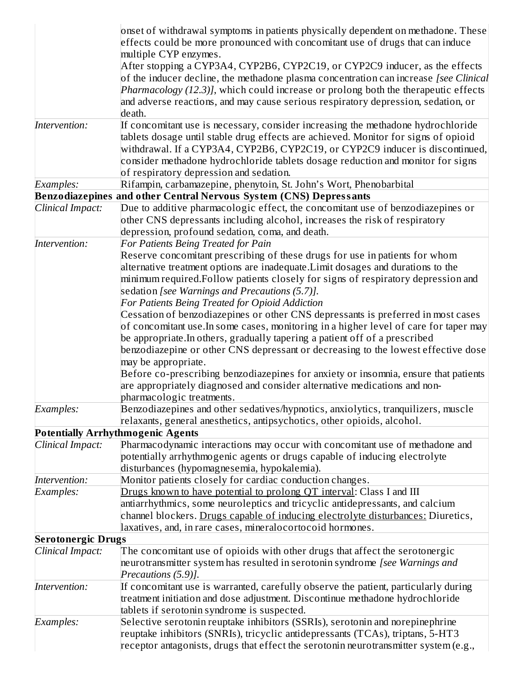|                           | onset of withdrawal symptoms in patients physically dependent on methadone. These<br>effects could be more pronounced with concomitant use of drugs that can induce<br>multiple CYP enzymes. |
|---------------------------|----------------------------------------------------------------------------------------------------------------------------------------------------------------------------------------------|
|                           | After stopping a CYP3A4, CYP2B6, CYP2C19, or CYP2C9 inducer, as the effects                                                                                                                  |
|                           | of the inducer decline, the methadone plasma concentration can increase [see Clinical                                                                                                        |
|                           | Pharmacology (12.3)], which could increase or prolong both the therapeutic effects                                                                                                           |
|                           |                                                                                                                                                                                              |
|                           | and adverse reactions, and may cause serious respiratory depression, sedation, or                                                                                                            |
|                           | death.                                                                                                                                                                                       |
| Intervention:             | If concomitant use is necessary, consider increasing the methadone hydrochloride                                                                                                             |
|                           | tablets dosage until stable drug effects are achieved. Monitor for signs of opioid                                                                                                           |
|                           | withdrawal. If a CYP3A4, CYP2B6, CYP2C19, or CYP2C9 inducer is discontinued,                                                                                                                 |
|                           | consider methadone hydrochloride tablets dosage reduction and monitor for signs                                                                                                              |
|                           | of respiratory depression and sedation.                                                                                                                                                      |
| Examples:                 | Rifampin, carbamazepine, phenytoin, St. John's Wort, Phenobarbital                                                                                                                           |
|                           | Benzodiazepines and other Central Nervous System (CNS) Depressants                                                                                                                           |
| Clinical Impact:          | Due to additive pharmacologic effect, the concomitant use of benzodiazepines or                                                                                                              |
|                           | other CNS depressants including alcohol, increases the risk of respiratory                                                                                                                   |
|                           | depression, profound sedation, coma, and death.                                                                                                                                              |
| Intervention:             | For Patients Being Treated for Pain                                                                                                                                                          |
|                           | Reserve concomitant prescribing of these drugs for use in patients for whom                                                                                                                  |
|                           | alternative treatment options are inadequate. Limit dosages and durations to the                                                                                                             |
|                           | minimum required.Follow patients closely for signs of respiratory depression and                                                                                                             |
|                           | sedation [see Warnings and Precautions (5.7)].                                                                                                                                               |
|                           | For Patients Being Treated for Opioid Addiction                                                                                                                                              |
|                           | Cessation of benzodiazepines or other CNS depressants is preferred in most cases                                                                                                             |
|                           | of concomitant use.In some cases, monitoring in a higher level of care for taper may                                                                                                         |
|                           | be appropriate.In others, gradually tapering a patient off of a prescribed                                                                                                                   |
|                           | benzodiazepine or other CNS depressant or decreasing to the lowest effective dose                                                                                                            |
|                           | may be appropriate.                                                                                                                                                                          |
|                           | Before co-prescribing benzodiazepines for anxiety or insomnia, ensure that patients                                                                                                          |
|                           | are appropriately diagnosed and consider alternative medications and non-                                                                                                                    |
|                           | pharmacologic treatments.                                                                                                                                                                    |
| Examples:                 | Benzodiazepines and other sedatives/hypnotics, anxiolytics, tranquilizers, muscle                                                                                                            |
|                           | relaxants, general anesthetics, antipsychotics, other opioids, alcohol.                                                                                                                      |
|                           | <b>Potentially Arrhythmogenic Agents</b>                                                                                                                                                     |
| Clinical Impact:          | Pharmacodynamic interactions may occur with concomitant use of methadone and                                                                                                                 |
|                           |                                                                                                                                                                                              |
|                           | potentially arrhythmogenic agents or drugs capable of inducing electrolyte                                                                                                                   |
|                           | disturbances (hypomagnesemia, hypokalemia).                                                                                                                                                  |
| Intervention:             | Monitor patients closely for cardiac conduction changes.                                                                                                                                     |
| Examples:                 | <u>Drugs known to have potential to prolong QT interval</u> : Class I and III                                                                                                                |
|                           | antiarrhythmics, some neuroleptics and tricyclic antidepressants, and calcium                                                                                                                |
|                           | channel blockers. Drugs capable of inducing electrolyte disturbances: Diuretics,                                                                                                             |
|                           | laxatives, and, in rare cases, mineralocortocoid hormones.                                                                                                                                   |
| <b>Serotonergic Drugs</b> |                                                                                                                                                                                              |
| Clinical Impact:          | The concomitant use of opioids with other drugs that affect the serotonergic $\overline{\phantom{a}}$                                                                                        |
|                           | neurotransmitter system has resulted in serotonin syndrome [see Warnings and                                                                                                                 |
|                           | Precautions (5.9)].                                                                                                                                                                          |
| Intervention:             | If concomitant use is warranted, carefully observe the patient, particularly during                                                                                                          |
|                           | treatment initiation and dose adjustment. Discontinue methadone hydrochloride                                                                                                                |
|                           | tablets if serotonin syndrome is suspected.                                                                                                                                                  |
| Examples:                 | Selective serotonin reuptake inhibitors (SSRIs), serotonin and norepinephrine                                                                                                                |
|                           | reuptake inhibitors (SNRIs), tricyclic antidepressants (TCAs), triptans, 5-HT3                                                                                                               |
|                           | receptor antagonists, drugs that effect the serotonin neurotransmitter system (e.g.,                                                                                                         |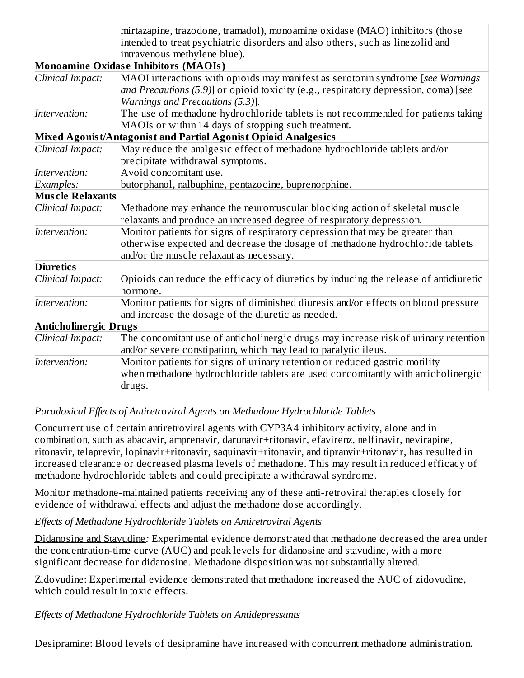|                              | mirtazapine, trazodone, tramadol), monoamine oxidase (MAO) inhibitors (those<br>intended to treat psychiatric disorders and also others, such as linezolid and                                                    |  |  |  |  |
|------------------------------|-------------------------------------------------------------------------------------------------------------------------------------------------------------------------------------------------------------------|--|--|--|--|
|                              | intravenous methylene blue).                                                                                                                                                                                      |  |  |  |  |
|                              | <b>Monoamine Oxidase Inhibitors (MAOIs)</b>                                                                                                                                                                       |  |  |  |  |
| Clinical Impact:             | MAOI interactions with opioids may manifest as serotonin syndrome [see Warnings<br>and Precautions (5.9)] or opioid toxicity (e.g., respiratory depression, coma) [see<br><b>Warnings and Precautions (5.3)].</b> |  |  |  |  |
| Intervention:                | The use of methadone hydrochloride tablets is not recommended for patients taking<br>MAOIs or within 14 days of stopping such treatment.                                                                          |  |  |  |  |
|                              | Mixed Agonist/Antagonist and Partial Agonist Opioid Analgesics                                                                                                                                                    |  |  |  |  |
| Clinical Impact:             | May reduce the analgesic effect of methadone hydrochloride tablets and/or<br>precipitate withdrawal symptoms.                                                                                                     |  |  |  |  |
| Intervention:                | Avoid concomitant use.                                                                                                                                                                                            |  |  |  |  |
| Examples:                    | butorphanol, nalbuphine, pentazocine, buprenorphine.                                                                                                                                                              |  |  |  |  |
| <b>Muscle Relaxants</b>      |                                                                                                                                                                                                                   |  |  |  |  |
| Clinical Impact:             | Methadone may enhance the neuromuscular blocking action of skeletal muscle<br>relaxants and produce an increased degree of respiratory depression.                                                                |  |  |  |  |
| Intervention:                | Monitor patients for signs of respiratory depression that may be greater than<br>otherwise expected and decrease the dosage of methadone hydrochloride tablets<br>and/or the muscle relaxant as necessary.        |  |  |  |  |
| <b>Diuretics</b>             |                                                                                                                                                                                                                   |  |  |  |  |
| Clinical Impact:             | Opioids can reduce the efficacy of diuretics by inducing the release of antidiuretic<br>hormone.                                                                                                                  |  |  |  |  |
| Intervention:                | Monitor patients for signs of diminished diuresis and/or effects on blood pressure<br>and increase the dosage of the diuretic as needed.                                                                          |  |  |  |  |
| <b>Anticholinergic Drugs</b> |                                                                                                                                                                                                                   |  |  |  |  |
| Clinical Impact:             | The concomitant use of anticholinergic drugs may increase risk of urinary retention<br>and/or severe constipation, which may lead to paralytic ileus.                                                             |  |  |  |  |
| Intervention:                | Monitor patients for signs of urinary retention or reduced gastric motility<br>when methadone hydrochloride tablets are used concomitantly with anticholinergic<br>drugs.                                         |  |  |  |  |

### *Paradoxical Effects of Antiretroviral Agents on Methadone Hydrochloride Tablets*

Concurrent use of certain antiretroviral agents with CYP3A4 inhibitory activity, alone and in combination, such as abacavir, amprenavir, darunavir+ritonavir, efavirenz, nelfinavir, nevirapine, ritonavir, telaprevir, lopinavir+ritonavir, saquinavir+ritonavir, and tipranvir+ritonavir, has resulted in increased clearance or decreased plasma levels of methadone. This may result in reduced efficacy of methadone hydrochloride tablets and could precipitate a withdrawal syndrome.

Monitor methadone-maintained patients receiving any of these anti-retroviral therapies closely for evidence of withdrawal effects and adjust the methadone dose accordingly.

*Effects of Methadone Hydrochloride Tablets on Antiretroviral Agents*

Didanosine and Stavudine*:* Experimental evidence demonstrated that methadone decreased the area under the concentration-time curve (AUC) and peak levels for didanosine and stavudine, with a more significant decrease for didanosine. Methadone disposition was not substantially altered.

Zidovudine: Experimental evidence demonstrated that methadone increased the AUC of zidovudine, which could result in toxic effects.

### *Effects of Methadone Hydrochloride Tablets on Antidepressants*

Desipramine: Blood levels of desipramine have increased with concurrent methadone administration.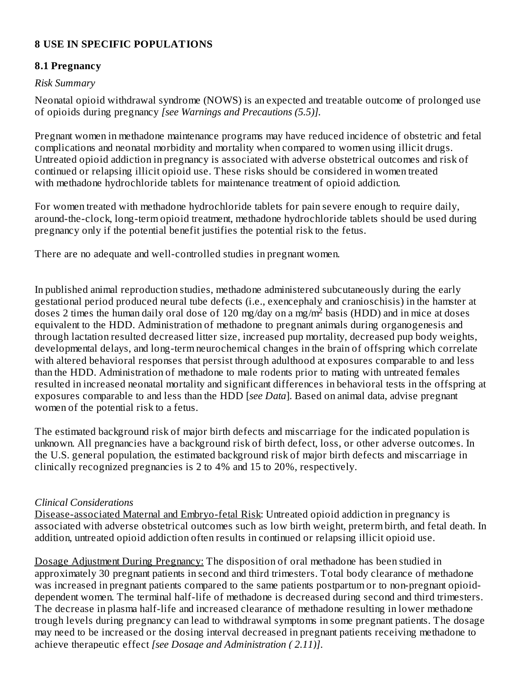### **8 USE IN SPECIFIC POPULATIONS**

### **8.1 Pregnancy**

#### *Risk Summary*

Neonatal opioid withdrawal syndrome (NOWS) is an expected and treatable outcome of prolonged use of opioids during pregnancy *[see Warnings and Precautions (5.5)].*

Pregnant women in methadone maintenance programs may have reduced incidence of obstetric and fetal complications and neonatal morbidity and mortality when compared to women using illicit drugs. Untreated opioid addiction in pregnancy is associated with adverse obstetrical outcomes and risk of continued or relapsing illicit opioid use. These risks should be considered in women treated with methadone hydrochloride tablets for maintenance treatment of opioid addiction.

For women treated with methadone hydrochloride tablets for pain severe enough to require daily, around-the-clock, long-term opioid treatment, methadone hydrochloride tablets should be used during pregnancy only if the potential benefit justifies the potential risk to the fetus.

There are no adequate and well-controlled studies in pregnant women.

In published animal reproduction studies, methadone administered subcutaneously during the early gestational period produced neural tube defects (i.e., exencephaly and cranioschisis) in the hamster at doses 2 times the human daily oral dose of 120 mg/day on a mg/m<sup>2</sup> basis (HDD) and in mice at doses equivalent to the HDD. Administration of methadone to pregnant animals during organogenesis and through lactation resulted decreased litter size, increased pup mortality, decreased pup body weights, developmental delays, and long-term neurochemical changes in the brain of offspring which correlate with altered behavioral responses that persist through adulthood at exposures comparable to and less than the HDD. Administration of methadone to male rodents prior to mating with untreated females resulted in increased neonatal mortality and significant differences in behavioral tests in the offspring at exposures comparable to and less than the HDD [*see Data*]. Based on animal data, advise pregnant women of the potential risk to a fetus.

The estimated background risk of major birth defects and miscarriage for the indicated population is unknown. All pregnancies have a background risk of birth defect, loss, or other adverse outcomes. In the U.S. general population, the estimated background risk of major birth defects and miscarriage in clinically recognized pregnancies is 2 to 4% and 15 to 20%, respectively.

#### *Clinical Considerations*

Disease-associated Maternal and Embryo-fetal Risk: Untreated opioid addiction in pregnancy is associated with adverse obstetrical outcomes such as low birth weight, preterm birth, and fetal death. In addition, untreated opioid addiction often results in continued or relapsing illicit opioid use.

Dosage Adjustment During Pregnancy: The disposition of oral methadone has been studied in approximately 30 pregnant patients in second and third trimesters. Total body clearance of methadone was increased in pregnant patients compared to the same patients postpartum or to non-pregnant opioiddependent women. The terminal half-life of methadone is decreased during second and third trimesters. The decrease in plasma half-life and increased clearance of methadone resulting in lower methadone trough levels during pregnancy can lead to withdrawal symptoms in some pregnant patients. The dosage may need to be increased or the dosing interval decreased in pregnant patients receiving methadone to achieve therapeutic effect *[see Dosage and Administration ( 2.11)]*.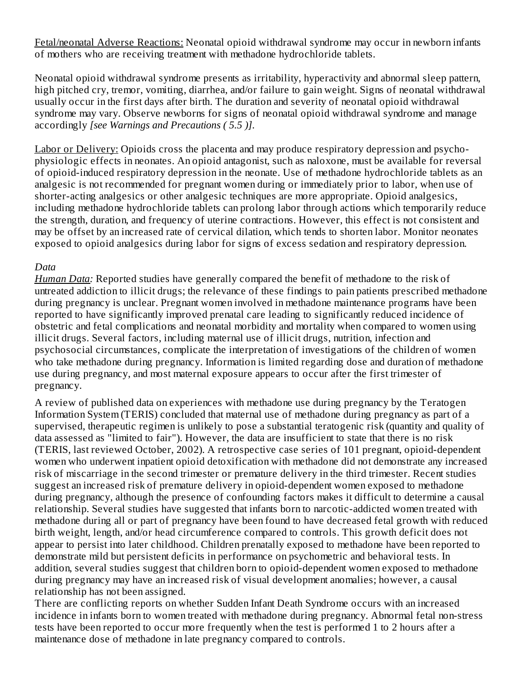Fetal/neonatal Adverse Reactions: Neonatal opioid withdrawal syndrome may occur in newborn infants of mothers who are receiving treatment with methadone hydrochloride tablets.

Neonatal opioid withdrawal syndrome presents as irritability, hyperactivity and abnormal sleep pattern, high pitched cry, tremor, vomiting, diarrhea, and/or failure to gain weight. Signs of neonatal withdrawal usually occur in the first days after birth. The duration and severity of neonatal opioid withdrawal syndrome may vary. Observe newborns for signs of neonatal opioid withdrawal syndrome and manage accordingly *[see Warnings and Precautions ( 5.5 )]*.

Labor or Delivery: Opioids cross the placenta and may produce respiratory depression and psychophysiologic effects in neonates. An opioid antagonist, such as naloxone, must be available for reversal of opioid-induced respiratory depression in the neonate. Use of methadone hydrochloride tablets as an analgesic is not recommended for pregnant women during or immediately prior to labor, when use of shorter-acting analgesics or other analgesic techniques are more appropriate. Opioid analgesics, including methadone hydrochloride tablets can prolong labor through actions which temporarily reduce the strength, duration, and frequency of uterine contractions. However, this effect is not consistent and may be offset by an increased rate of cervical dilation, which tends to shorten labor. Monitor neonates exposed to opioid analgesics during labor for signs of excess sedation and respiratory depression.

### *Data*

*Human Data:* Reported studies have generally compared the benefit of methadone to the risk of untreated addiction to illicit drugs; the relevance of these findings to pain patients prescribed methadone during pregnancy is unclear. Pregnant women involved in methadone maintenance programs have been reported to have significantly improved prenatal care leading to significantly reduced incidence of obstetric and fetal complications and neonatal morbidity and mortality when compared to women using illicit drugs. Several factors, including maternal use of illicit drugs, nutrition, infection and psychosocial circumstances, complicate the interpretation of investigations of the children of women who take methadone during pregnancy. Information is limited regarding dose and duration of methadone use during pregnancy, and most maternal exposure appears to occur after the first trimester of pregnancy.

A review of published data on experiences with methadone use during pregnancy by the Teratogen Information System (TERIS) concluded that maternal use of methadone during pregnancy as part of a supervised, therapeutic regimen is unlikely to pose a substantial teratogenic risk (quantity and quality of data assessed as "limited to fair"). However, the data are insufficient to state that there is no risk (TERIS, last reviewed October, 2002). A retrospective case series of 101 pregnant, opioid-dependent women who underwent inpatient opioid detoxification with methadone did not demonstrate any increased risk of miscarriage in the second trimester or premature delivery in the third trimester. Recent studies suggest an increased risk of premature delivery in opioid-dependent women exposed to methadone during pregnancy, although the presence of confounding factors makes it difficult to determine a causal relationship. Several studies have suggested that infants born to narcotic-addicted women treated with methadone during all or part of pregnancy have been found to have decreased fetal growth with reduced birth weight, length, and/or head circumference compared to controls. This growth deficit does not appear to persist into later childhood. Children prenatally exposed to methadone have been reported to demonstrate mild but persistent deficits in performance on psychometric and behavioral tests. In addition, several studies suggest that children born to opioid-dependent women exposed to methadone during pregnancy may have an increased risk of visual development anomalies; however, a causal relationship has not been assigned.

There are conflicting reports on whether Sudden Infant Death Syndrome occurs with an increased incidence in infants born to women treated with methadone during pregnancy. Abnormal fetal non-stress tests have been reported to occur more frequently when the test is performed 1 to 2 hours after a maintenance dose of methadone in late pregnancy compared to controls.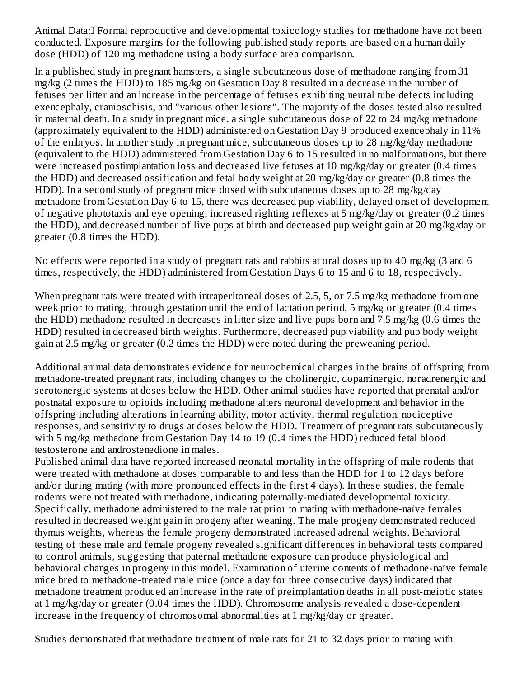Animal Data: Formal reproductive and developmental toxicology studies for methadone have not been conducted. Exposure margins for the following published study reports are based on a human daily dose (HDD) of 120 mg methadone using a body surface area comparison.

In a published study in pregnant hamsters, a single subcutaneous dose of methadone ranging from 31 mg/kg (2 times the HDD) to 185 mg/kg on Gestation Day 8 resulted in a decrease in the number of fetuses per litter and an increase in the percentage of fetuses exhibiting neural tube defects including exencephaly, cranioschisis, and "various other lesions". The majority of the doses tested also resulted in maternal death. In a study in pregnant mice, a single subcutaneous dose of 22 to 24 mg/kg methadone (approximately equivalent to the HDD) administered on Gestation Day 9 produced exencephaly in 11% of the embryos. In another study in pregnant mice, subcutaneous doses up to 28 mg/kg/day methadone (equivalent to the HDD) administered from Gestation Day 6 to 15 resulted in no malformations, but there were increased postimplantation loss and decreased live fetuses at 10 mg/kg/day or greater (0.4 times the HDD) and decreased ossification and fetal body weight at 20 mg/kg/day or greater (0.8 times the HDD). In a second study of pregnant mice dosed with subcutaneous doses up to 28 mg/kg/day methadone from Gestation Day 6 to 15, there was decreased pup viability, delayed onset of development of negative phototaxis and eye opening, increased righting reflexes at 5 mg/kg/day or greater (0.2 times the HDD), and decreased number of live pups at birth and decreased pup weight gain at 20 mg/kg/day or greater (0.8 times the HDD).

No effects were reported in a study of pregnant rats and rabbits at oral doses up to 40 mg/kg (3 and 6 times, respectively, the HDD) administered from Gestation Days 6 to 15 and 6 to 18, respectively.

When pregnant rats were treated with intraperitoneal doses of 2.5, 5, or 7.5 mg/kg methadone from one week prior to mating, through gestation until the end of lactation period, 5 mg/kg or greater (0.4 times the HDD) methadone resulted in decreases in litter size and live pups born and 7.5 mg/kg (0.6 times the HDD) resulted in decreased birth weights. Furthermore, decreased pup viability and pup body weight gain at 2.5 mg/kg or greater (0.2 times the HDD) were noted during the preweaning period.

Additional animal data demonstrates evidence for neurochemical changes in the brains of offspring from methadone-treated pregnant rats, including changes to the cholinergic, dopaminergic, noradrenergic and serotonergic systems at doses below the HDD. Other animal studies have reported that prenatal and/or postnatal exposure to opioids including methadone alters neuronal development and behavior in the offspring including alterations in learning ability, motor activity, thermal regulation, nociceptive responses, and sensitivity to drugs at doses below the HDD. Treatment of pregnant rats subcutaneously with 5 mg/kg methadone from Gestation Day 14 to 19 (0.4 times the HDD) reduced fetal blood testosterone and androstenedione in males.

Published animal data have reported increased neonatal mortality in the offspring of male rodents that were treated with methadone at doses comparable to and less than the HDD for 1 to 12 days before and/or during mating (with more pronounced effects in the first 4 days). In these studies, the female rodents were not treated with methadone, indicating paternally-mediated developmental toxicity. Specifically, methadone administered to the male rat prior to mating with methadone-naïve females resulted in decreased weight gain in progeny after weaning. The male progeny demonstrated reduced thymus weights, whereas the female progeny demonstrated increased adrenal weights. Behavioral testing of these male and female progeny revealed significant differences in behavioral tests compared to control animals, suggesting that paternal methadone exposure can produce physiological and behavioral changes in progeny in this model. Examination of uterine contents of methadone-naïve female mice bred to methadone-treated male mice (once a day for three consecutive days) indicated that methadone treatment produced an increase in the rate of preimplantation deaths in all post-meiotic states at 1 mg/kg/day or greater (0.04 times the HDD). Chromosome analysis revealed a dose-dependent increase in the frequency of chromosomal abnormalities at 1 mg/kg/day or greater.

Studies demonstrated that methadone treatment of male rats for 21 to 32 days prior to mating with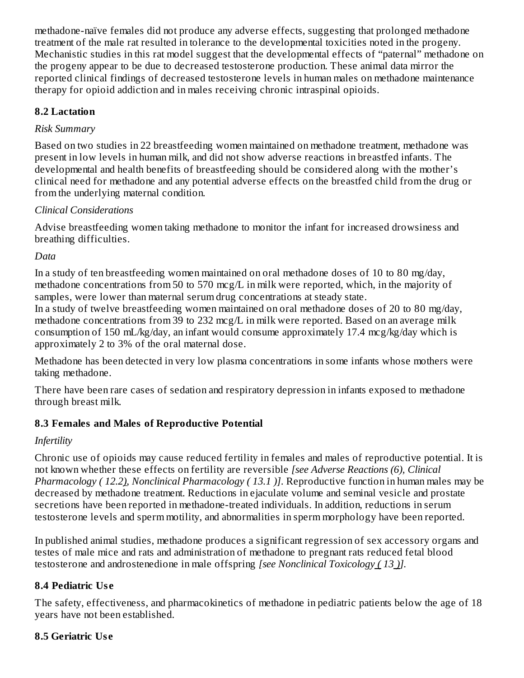methadone-naïve females did not produce any adverse effects, suggesting that prolonged methadone treatment of the male rat resulted in tolerance to the developmental toxicities noted in the progeny. Mechanistic studies in this rat model suggest that the developmental effects of "paternal" methadone on the progeny appear to be due to decreased testosterone production. These animal data mirror the reported clinical findings of decreased testosterone levels in human males on methadone maintenance therapy for opioid addiction and in males receiving chronic intraspinal opioids.

### **8.2 Lactation**

### *Risk Summary*

Based on two studies in 22 breastfeeding women maintained on methadone treatment, methadone was present in low levels in human milk, and did not show adverse reactions in breastfed infants. The developmental and health benefits of breastfeeding should be considered along with the mother's clinical need for methadone and any potential adverse effects on the breastfed child from the drug or from the underlying maternal condition.

### *Clinical Considerations*

Advise breastfeeding women taking methadone to monitor the infant for increased drowsiness and breathing difficulties.

### *Data*

In a study of ten breastfeeding women maintained on oral methadone doses of 10 to 80 mg/day, methadone concentrations from 50 to 570 mcg/L in milk were reported, which, in the majority of samples, were lower than maternal serum drug concentrations at steady state.

In a study of twelve breastfeeding women maintained on oral methadone doses of 20 to 80 mg/day, methadone concentrations from 39 to 232 mcg/L in milk were reported. Based on an average milk consumption of 150 mL/kg/day, an infant would consume approximately 17.4 mcg/kg/day which is approximately 2 to 3% of the oral maternal dose.

Methadone has been detected in very low plasma concentrations in some infants whose mothers were taking methadone.

There have been rare cases of sedation and respiratory depression in infants exposed to methadone through breast milk.

## **8.3 Females and Males of Reproductive Potential**

## *Infertility*

Chronic use of opioids may cause reduced fertility in females and males of reproductive potential. It is not known whether these effects on fertility are reversible *[see Adverse Reactions (6), Clinical Pharmacology ( 12.2), Nonclinical Pharmacology ( 13.1 )]*. Reproductive function in human males may be decreased by methadone treatment. Reductions in ejaculate volume and seminal vesicle and prostate secretions have been reported in methadone-treated individuals. In addition, reductions in serum testosterone levels and sperm motility, and abnormalities in sperm morphology have been reported.

In published animal studies, methadone produces a significant regression of sex accessory organs and testes of male mice and rats and administration of methadone to pregnant rats reduced fetal blood testosterone and androstenedione in male offspring *[see Nonclinical Toxicology ( 13 )].*

## **8.4 Pediatric Us e**

The safety, effectiveness, and pharmacokinetics of methadone in pediatric patients below the age of 18 years have not been established.

## **8.5 Geriatric Us e**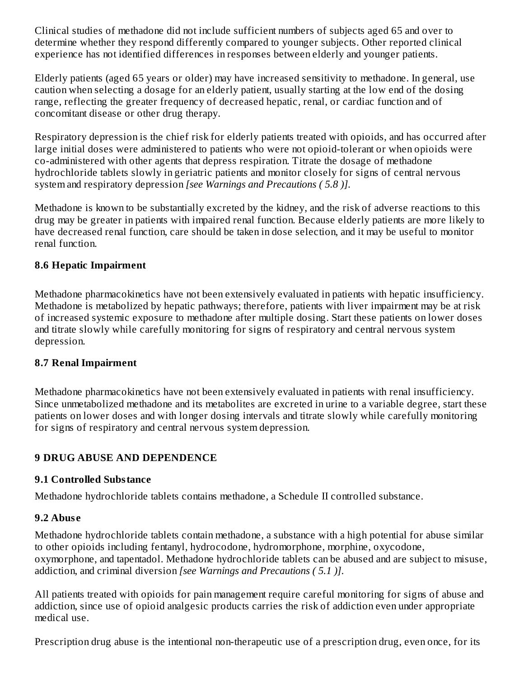Clinical studies of methadone did not include sufficient numbers of subjects aged 65 and over to determine whether they respond differently compared to younger subjects. Other reported clinical experience has not identified differences in responses between elderly and younger patients.

Elderly patients (aged 65 years or older) may have increased sensitivity to methadone. In general, use caution when selecting a dosage for an elderly patient, usually starting at the low end of the dosing range, reflecting the greater frequency of decreased hepatic, renal, or cardiac function and of concomitant disease or other drug therapy.

Respiratory depression is the chief risk for elderly patients treated with opioids, and has occurred after large initial doses were administered to patients who were not opioid-tolerant or when opioids were co-administered with other agents that depress respiration. Titrate the dosage of methadone hydrochloride tablets slowly in geriatric patients and monitor closely for signs of central nervous system and respiratory depression *[see Warnings and Precautions ( 5.8 )]*.

Methadone is known to be substantially excreted by the kidney, and the risk of adverse reactions to this drug may be greater in patients with impaired renal function. Because elderly patients are more likely to have decreased renal function, care should be taken in dose selection, and it may be useful to monitor renal function.

### **8.6 Hepatic Impairment**

Methadone pharmacokinetics have not been extensively evaluated in patients with hepatic insufficiency. Methadone is metabolized by hepatic pathways; therefore, patients with liver impairment may be at risk of increased systemic exposure to methadone after multiple dosing. Start these patients on lower doses and titrate slowly while carefully monitoring for signs of respiratory and central nervous system depression.

#### **8.7 Renal Impairment**

Methadone pharmacokinetics have not been extensively evaluated in patients with renal insufficiency. Since unmetabolized methadone and its metabolites are excreted in urine to a variable degree, start these patients on lower doses and with longer dosing intervals and titrate slowly while carefully monitoring for signs of respiratory and central nervous system depression.

### **9 DRUG ABUSE AND DEPENDENCE**

### **9.1 Controlled Substance**

Methadone hydrochloride tablets contains methadone, a Schedule II controlled substance.

### **9.2 Abus e**

Methadone hydrochloride tablets contain methadone, a substance with a high potential for abuse similar to other opioids including fentanyl, hydrocodone, hydromorphone, morphine, oxycodone, oxymorphone, and tapentadol. Methadone hydrochloride tablets can be abused and are subject to misuse, addiction, and criminal diversion *[see Warnings and Precautions ( 5.1 )]*.

All patients treated with opioids for pain management require careful monitoring for signs of abuse and addiction, since use of opioid analgesic products carries the risk of addiction even under appropriate medical use.

Prescription drug abuse is the intentional non-therapeutic use of a prescription drug, even once, for its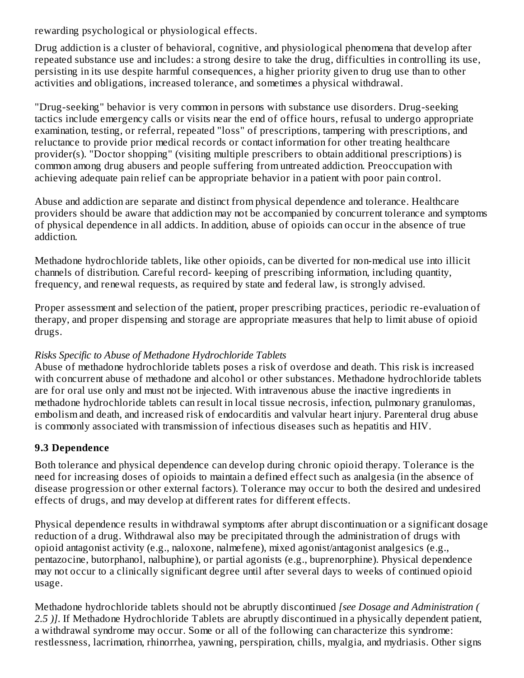rewarding psychological or physiological effects.

Drug addiction is a cluster of behavioral, cognitive, and physiological phenomena that develop after repeated substance use and includes: a strong desire to take the drug, difficulties in controlling its use, persisting in its use despite harmful consequences, a higher priority given to drug use than to other activities and obligations, increased tolerance, and sometimes a physical withdrawal.

"Drug-seeking" behavior is very common in persons with substance use disorders. Drug-seeking tactics include emergency calls or visits near the end of office hours, refusal to undergo appropriate examination, testing, or referral, repeated "loss" of prescriptions, tampering with prescriptions, and reluctance to provide prior medical records or contact information for other treating healthcare provider(s). "Doctor shopping" (visiting multiple prescribers to obtain additional prescriptions) is common among drug abusers and people suffering from untreated addiction. Preoccupation with achieving adequate pain relief can be appropriate behavior in a patient with poor pain control.

Abuse and addiction are separate and distinct from physical dependence and tolerance. Healthcare providers should be aware that addiction may not be accompanied by concurrent tolerance and symptoms of physical dependence in all addicts. In addition, abuse of opioids can occur in the absence of true addiction.

Methadone hydrochloride tablets, like other opioids, can be diverted for non-medical use into illicit channels of distribution. Careful record- keeping of prescribing information, including quantity, frequency, and renewal requests, as required by state and federal law, is strongly advised.

Proper assessment and selection of the patient, proper prescribing practices, periodic re-evaluation of therapy, and proper dispensing and storage are appropriate measures that help to limit abuse of opioid drugs.

### *Risks Specific to Abuse of Methadone Hydrochloride Tablets*

Abuse of methadone hydrochloride tablets poses a risk of overdose and death. This risk is increased with concurrent abuse of methadone and alcohol or other substances. Methadone hydrochloride tablets are for oral use only and must not be injected. With intravenous abuse the inactive ingredients in methadone hydrochloride tablets can result in local tissue necrosis, infection, pulmonary granulomas, embolism and death, and increased risk of endocarditis and valvular heart injury. Parenteral drug abuse is commonly associated with transmission of infectious diseases such as hepatitis and HIV.

### **9.3 Dependence**

Both tolerance and physical dependence can develop during chronic opioid therapy. Tolerance is the need for increasing doses of opioids to maintain a defined effect such as analgesia (in the absence of disease progression or other external factors). Tolerance may occur to both the desired and undesired effects of drugs, and may develop at different rates for different effects.

Physical dependence results in withdrawal symptoms after abrupt discontinuation or a significant dosage reduction of a drug. Withdrawal also may be precipitated through the administration of drugs with opioid antagonist activity (e.g., naloxone, nalmefene), mixed agonist/antagonist analgesics (e.g., pentazocine, butorphanol, nalbuphine), or partial agonists (e.g., buprenorphine). Physical dependence may not occur to a clinically significant degree until after several days to weeks of continued opioid usage.

Methadone hydrochloride tablets should not be abruptly discontinued *[see Dosage and Administration ( 2.5 )]*. If Methadone Hydrochloride Tablets are abruptly discontinued in a physically dependent patient, a withdrawal syndrome may occur. Some or all of the following can characterize this syndrome: restlessness, lacrimation, rhinorrhea, yawning, perspiration, chills, myalgia, and mydriasis. Other signs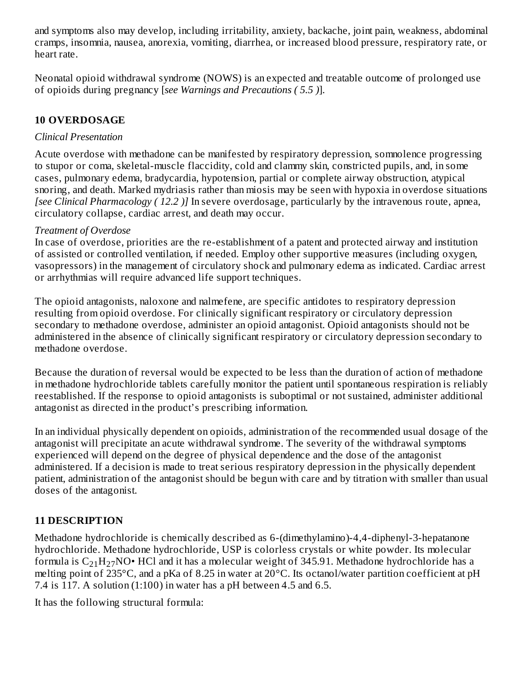and symptoms also may develop, including irritability, anxiety, backache, joint pain, weakness, abdominal cramps, insomnia, nausea, anorexia, vomiting, diarrhea, or increased blood pressure, respiratory rate, or heart rate.

Neonatal opioid withdrawal syndrome (NOWS) is an expected and treatable outcome of prolonged use of opioids during pregnancy [*see Warnings and Precautions ( 5.5 )*].

### **10 OVERDOSAGE**

### *Clinical Presentation*

Acute overdose with methadone can be manifested by respiratory depression, somnolence progressing to stupor or coma, skeletal-muscle flaccidity, cold and clammy skin, constricted pupils, and, in some cases, pulmonary edema, bradycardia, hypotension, partial or complete airway obstruction, atypical snoring, and death. Marked mydriasis rather than miosis may be seen with hypoxia in overdose situations *[see Clinical Pharmacology ( 12.2 )]* In severe overdosage, particularly by the intravenous route, apnea, circulatory collapse, cardiac arrest, and death may occur.

### *Treatment of Overdose*

In case of overdose, priorities are the re-establishment of a patent and protected airway and institution of assisted or controlled ventilation, if needed. Employ other supportive measures (including oxygen, vasopressors) in the management of circulatory shock and pulmonary edema as indicated. Cardiac arrest or arrhythmias will require advanced life support techniques.

The opioid antagonists, naloxone and nalmefene, are specific antidotes to respiratory depression resulting from opioid overdose. For clinically significant respiratory or circulatory depression secondary to methadone overdose, administer an opioid antagonist. Opioid antagonists should not be administered in the absence of clinically significant respiratory or circulatory depression secondary to methadone overdose.

Because the duration of reversal would be expected to be less than the duration of action of methadone in methadone hydrochloride tablets carefully monitor the patient until spontaneous respiration is reliably reestablished. If the response to opioid antagonists is suboptimal or not sustained, administer additional antagonist as directed in the product's prescribing information.

In an individual physically dependent on opioids, administration of the recommended usual dosage of the antagonist will precipitate an acute withdrawal syndrome. The severity of the withdrawal symptoms experienced will depend on the degree of physical dependence and the dose of the antagonist administered. If a decision is made to treat serious respiratory depression in the physically dependent patient, administration of the antagonist should be begun with care and by titration with smaller than usual doses of the antagonist.

## **11 DESCRIPTION**

Methadone hydrochloride is chemically described as 6-(dimethylamino)-4,4-diphenyl-3-hepatanone hydrochloride. Methadone hydrochloride, USP is colorless crystals or white powder. Its molecular formula is  $\rm{C_{21}H_{27}NO}$   $\bullet$  HCl and it has a molecular weight of 345.91. Methadone hydrochloride has a melting point of 235°C, and a pKa of 8.25 in water at 20°C. Its octanol/water partition coefficient at pH 7.4 is 117. A solution (1:100) in water has a pH between 4.5 and 6.5.

It has the following structural formula: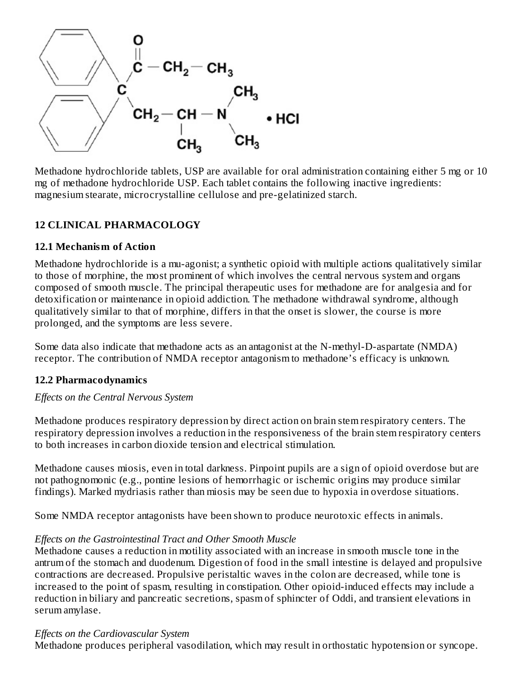

Methadone hydrochloride tablets, USP are available for oral administration containing either 5 mg or 10 mg of methadone hydrochloride USP. Each tablet contains the following inactive ingredients: magnesium stearate, microcrystalline cellulose and pre-gelatinized starch.

### **12 CLINICAL PHARMACOLOGY**

#### **12.1 Mechanism of Action**

Methadone hydrochloride is a mu-agonist; a synthetic opioid with multiple actions qualitatively similar to those of morphine, the most prominent of which involves the central nervous system and organs composed of smooth muscle. The principal therapeutic uses for methadone are for analgesia and for detoxification or maintenance in opioid addiction. The methadone withdrawal syndrome, although qualitatively similar to that of morphine, differs in that the onset is slower, the course is more prolonged, and the symptoms are less severe.

Some data also indicate that methadone acts as an antagonist at the N-methyl-D-aspartate (NMDA) receptor. The contribution of NMDA receptor antagonism to methadone's efficacy is unknown.

#### **12.2 Pharmacodynamics**

#### *Effects on the Central Nervous System*

Methadone produces respiratory depression by direct action on brain stem respiratory centers. The respiratory depression involves a reduction in the responsiveness of the brain stem respiratory centers to both increases in carbon dioxide tension and electrical stimulation.

Methadone causes miosis, even in total darkness. Pinpoint pupils are a sign of opioid overdose but are not pathognomonic (e.g., pontine lesions of hemorrhagic or ischemic origins may produce similar findings). Marked mydriasis rather than miosis may be seen due to hypoxia in overdose situations.

Some NMDA receptor antagonists have been shown to produce neurotoxic effects in animals.

### *Effects on the Gastrointestinal Tract and Other Smooth Muscle*

Methadone causes a reduction in motility associated with an increase in smooth muscle tone in the antrum of the stomach and duodenum. Digestion of food in the small intestine is delayed and propulsive contractions are decreased. Propulsive peristaltic waves in the colon are decreased, while tone is increased to the point of spasm, resulting in constipation. Other opioid-induced effects may include a reduction in biliary and pancreatic secretions, spasm of sphincter of Oddi, and transient elevations in serum amylase.

#### *Effects on the Cardiovascular System*

Methadone produces peripheral vasodilation, which may result in orthostatic hypotension or syncope.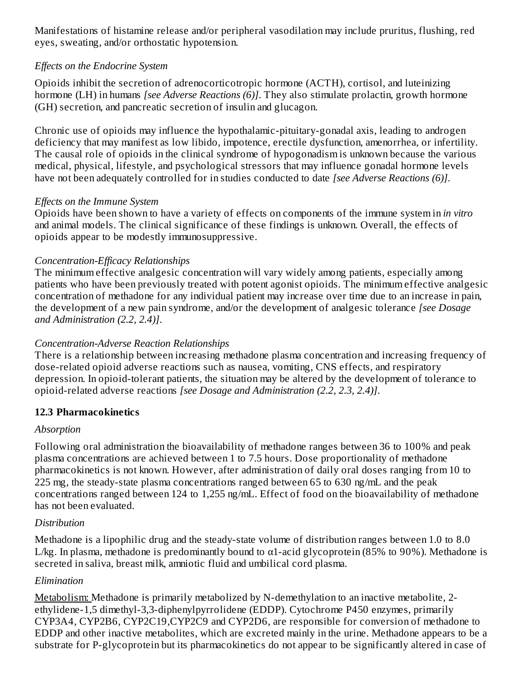Manifestations of histamine release and/or peripheral vasodilation may include pruritus, flushing, red eyes, sweating, and/or orthostatic hypotension.

### *Effects on the Endocrine System*

Opioids inhibit the secretion of adrenocorticotropic hormone (ACTH), cortisol, and luteinizing hormone (LH) in humans *[see Adverse Reactions (6)]*. They also stimulate prolactin, growth hormone (GH) secretion, and pancreatic secretion of insulin and glucagon.

Chronic use of opioids may influence the hypothalamic-pituitary-gonadal axis, leading to androgen deficiency that may manifest as low libido, impotence, erectile dysfunction, amenorrhea, or infertility. The causal role of opioids in the clinical syndrome of hypogonadism is unknown because the various medical, physical, lifestyle, and psychological stressors that may influence gonadal hormone levels have not been adequately controlled for in studies conducted to date *[see Adverse Reactions (6)]*.

### *Effects on the Immune System*

Opioids have been shown to have a variety of effects on components of the immune system in *in vitro* and animal models. The clinical significance of these findings is unknown. Overall, the effects of opioids appear to be modestly immunosuppressive.

### *Concentration-Efficacy Relationships*

The minimum effective analgesic concentration will vary widely among patients, especially among patients who have been previously treated with potent agonist opioids. The minimum effective analgesic concentration of methadone for any individual patient may increase over time due to an increase in pain, the development of a new pain syndrome, and/or the development of analgesic tolerance *[see Dosage and Administration (2.2, 2.4)]*.

### *Concentration-Adverse Reaction Relationships*

There is a relationship between increasing methadone plasma concentration and increasing frequency of dose-related opioid adverse reactions such as nausea, vomiting, CNS effects, and respiratory depression. In opioid-tolerant patients, the situation may be altered by the development of tolerance to opioid-related adverse reactions *[see Dosage and Administration (2.2, 2.3, 2.4)]*.

### **12.3 Pharmacokinetics**

### *Absorption*

Following oral administration the bioavailability of methadone ranges between 36 to 100% and peak plasma concentrations are achieved between 1 to 7.5 hours. Dose proportionality of methadone pharmacokinetics is not known. However, after administration of daily oral doses ranging from 10 to 225 mg, the steady-state plasma concentrations ranged between 65 to 630 ng/mL and the peak concentrations ranged between 124 to 1,255 ng/mL. Effect of food on the bioavailability of methadone has not been evaluated.

### *Distribution*

Methadone is a lipophilic drug and the steady-state volume of distribution ranges between 1.0 to 8.0 L/kg. In plasma, methadone is predominantly bound to  $α1$ -acid glycoprotein (85% to 90%). Methadone is secreted in saliva, breast milk, amniotic fluid and umbilical cord plasma.

### *Elimination*

Metabolism: Methadone is primarily metabolized by N-demethylation to an inactive metabolite, 2 ethylidene-1,5 dimethyl-3,3-diphenylpyrrolidene (EDDP). Cytochrome P450 enzymes, primarily CYP3A4, CYP2B6, CYP2C19,CYP2C9 and CYP2D6, are responsible for conversion of methadone to EDDP and other inactive metabolites, which are excreted mainly in the urine. Methadone appears to be a substrate for P-glycoprotein but its pharmacokinetics do not appear to be significantly altered in case of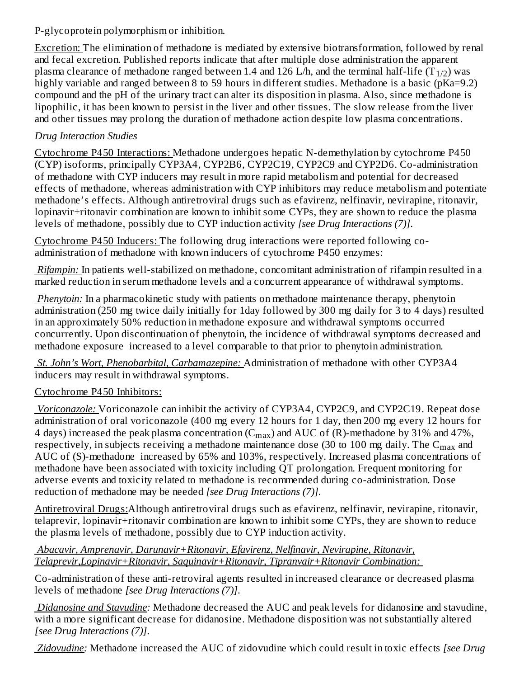### P-glycoprotein polymorphism or inhibition.

Excretion: The elimination of methadone is mediated by extensive biotransformation, followed by renal and fecal excretion. Published reports indicate that after multiple dose administration the apparent plasma clearance of methadone ranged between 1.4 and 126 L/h, and the terminal half-life (T $_{\rm 1/2})$  was highly variable and ranged between 8 to 59 hours in different studies. Methadone is a basic (pKa=9.2) compound and the pH of the urinary tract can alter its disposition in plasma. Also, since methadone is lipophilic, it has been known to persist in the liver and other tissues. The slow release from the liver and other tissues may prolong the duration of methadone action despite low plasma concentrations.

### *Drug Interaction Studies*

Cytochrome P450 Interactions: Methadone undergoes hepatic N-demethylation by cytochrome P450 (CYP) isoforms, principally CYP3A4, CYP2B6, CYP2C19, CYP2C9 and CYP2D6. Co-administration of methadone with CYP inducers may result in more rapid metabolism and potential for decreased effects of methadone, whereas administration with CYP inhibitors may reduce metabolism and potentiate methadone's effects. Although antiretroviral drugs such as efavirenz, nelfinavir, nevirapine, ritonavir, lopinavir+ritonavir combination are known to inhibit some CYPs, they are shown to reduce the plasma levels of methadone, possibly due to CYP induction activity *[see Drug Interactions (7)]*.

Cytochrome P450 Inducers: The following drug interactions were reported following coadministration of methadone with known inducers of cytochrome P450 enzymes:

*Rifampin:* In patients well-stabilized on methadone, concomitant administration of rifampin resulted in a marked reduction in serum methadone levels and a concurrent appearance of withdrawal symptoms.

*Phenytoin:* In a pharmacokinetic study with patients on methadone maintenance therapy, phenytoin administration (250 mg twice daily initially for 1day followed by 300 mg daily for 3 to 4 days) resulted in an approximately 50% reduction in methadone exposure and withdrawal symptoms occurred concurrently. Upon discontinuation of phenytoin, the incidence of withdrawal symptoms decreased and methadone exposure increased to a level comparable to that prior to phenytoin administration.

*St. John's Wort, Phenobarbital, Carbamazepine:* Administration of methadone with other CYP3A4 inducers may result in withdrawal symptoms.

## Cytochrome P450 Inhibitors:

*Voriconazole:* Voriconazole can inhibit the activity of CYP3A4, CYP2C9, and CYP2C19. Repeat dose administration of oral voriconazole (400 mg every 12 hours for 1 day, then 200 mg every 12 hours for 4 days) increased the peak plasma concentration (C $_{\rm max}$ ) and AUC of (R)-methadone by 31% and 47%, respectively, in subjects receiving a methadone maintenance dose (30 to 100 mg daily. The  $\mathsf{C}_{\max}$  and AUC of (S)-methadone increased by 65% and 103%, respectively. Increased plasma concentrations of methadone have been associated with toxicity including QT prolongation. Frequent monitoring for adverse events and toxicity related to methadone is recommended during co-administration. Dose reduction of methadone may be needed *[see Drug Interactions (7)]*.

Antiretroviral Drugs:Although antiretroviral drugs such as efavirenz, nelfinavir, nevirapine, ritonavir, telaprevir, lopinavir+ritonavir combination are known to inhibit some CYPs, they are shown to reduce the plasma levels of methadone, possibly due to CYP induction activity.

### *Abacavir, Amprenavir, Darunavir+Ritonavir, Efavirenz, Nelfinavir, Nevirapine, Ritonavir, Telaprevir,Lopinavir+Ritonavir, Saquinavir+Ritonavir, Tipranvair+Ritonavir Combination:*

Co-administration of these anti-retroviral agents resulted in increased clearance or decreased plasma levels of methadone *[see Drug Interactions (7)]*.

*Didanosine and Stavudine:* Methadone decreased the AUC and peak levels for didanosine and stavudine, with a more significant decrease for didanosine. Methadone disposition was not substantially altered *[see Drug Interactions (7)]*.

*Zidovudine:* Methadone increased the AUC of zidovudine which could result in toxic effects *[see Drug*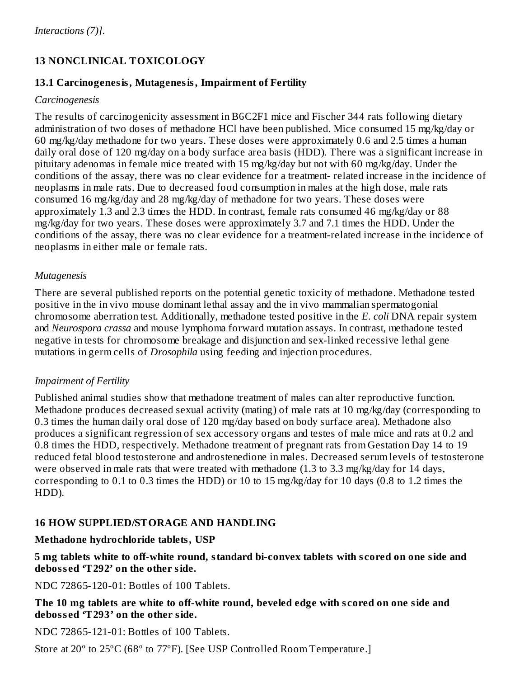## **13 NONCLINICAL TOXICOLOGY**

### **13.1 Carcinogenesis, Mutagenesis, Impairment of Fertility**

#### *Carcinogenesis*

The results of carcinogenicity assessment in B6C2F1 mice and Fischer 344 rats following dietary administration of two doses of methadone HCl have been published. Mice consumed 15 mg/kg/day or 60 mg/kg/day methadone for two years. These doses were approximately 0.6 and 2.5 times a human daily oral dose of 120 mg/day on a body surface area basis (HDD). There was a significant increase in pituitary adenomas in female mice treated with 15 mg/kg/day but not with 60 mg/kg/day. Under the conditions of the assay, there was no clear evidence for a treatment- related increase in the incidence of neoplasms in male rats. Due to decreased food consumption in males at the high dose, male rats consumed 16 mg/kg/day and 28 mg/kg/day of methadone for two years. These doses were approximately 1.3 and 2.3 times the HDD. In contrast, female rats consumed 46 mg/kg/day or 88 mg/kg/day for two years. These doses were approximately 3.7 and 7.1 times the HDD. Under the conditions of the assay, there was no clear evidence for a treatment-related increase in the incidence of neoplasms in either male or female rats.

#### *Mutagenesis*

There are several published reports on the potential genetic toxicity of methadone. Methadone tested positive in the in vivo mouse dominant lethal assay and the in vivo mammalian spermatogonial chromosome aberration test. Additionally, methadone tested positive in the *E. coli* DNA repair system and *Neurospora crassa* and mouse lymphoma forward mutation assays. In contrast, methadone tested negative in tests for chromosome breakage and disjunction and sex-linked recessive lethal gene mutations in germ cells of *Drosophila* using feeding and injection procedures.

### *Impairment of Fertility*

Published animal studies show that methadone treatment of males can alter reproductive function. Methadone produces decreased sexual activity (mating) of male rats at 10 mg/kg/day (corresponding to 0.3 times the human daily oral dose of 120 mg/day based on body surface area). Methadone also produces a significant regression of sex accessory organs and testes of male mice and rats at 0.2 and 0.8 times the HDD, respectively. Methadone treatment of pregnant rats from Gestation Day 14 to 19 reduced fetal blood testosterone and androstenedione in males. Decreased serum levels of testosterone were observed in male rats that were treated with methadone (1.3 to 3.3 mg/kg/day for 14 days, corresponding to 0.1 to 0.3 times the HDD) or 10 to 15 mg/kg/day for 10 days (0.8 to 1.2 times the HDD).

### **16 HOW SUPPLIED/STORAGE AND HANDLING**

### **Methadone hydrochloride tablets, USP**

**5 mg tablets white to off-white round, standard bi-convex tablets with s cored on one side and deboss ed 'T292' on the other side.**

NDC 72865-120-01: Bottles of 100 Tablets.

### **The 10 mg tablets are white to off-white round, beveled edge with s cored on one side and deboss ed 'T293' on the other side.**

NDC 72865-121-01: Bottles of 100 Tablets.

Store at 20º to 25ºC (68º to 77ºF). [See USP Controlled Room Temperature.]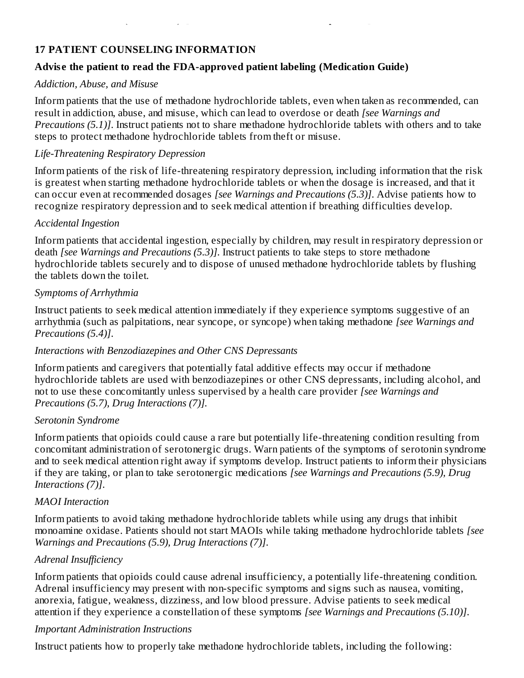### **17 PATIENT COUNSELING INFORMATION**

### **Advis e the patient to read the FDA-approved patient labeling (Medication Guide)**

Store at 20º to 25ºC (68º to 77ºF). [See USP Controlled Room Temperature.]

#### *Addiction, Abuse, and Misuse*

Inform patients that the use of methadone hydrochloride tablets, even when taken as recommended, can result in addiction, abuse, and misuse, which can lead to overdose or death *[see Warnings and Precautions (5.1)]*. Instruct patients not to share methadone hydrochloride tablets with others and to take steps to protect methadone hydrochloride tablets from theft or misuse.

#### *Life-Threatening Respiratory Depression*

Inform patients of the risk of life-threatening respiratory depression, including information that the risk is greatest when starting methadone hydrochloride tablets or when the dosage is increased, and that it can occur even at recommended dosages *[see Warnings and Precautions (5.3)]*. Advise patients how to recognize respiratory depression and to seek medical attention if breathing difficulties develop.

#### *Accidental Ingestion*

Inform patients that accidental ingestion, especially by children, may result in respiratory depression or death *[see Warnings and Precautions (5.3)]*. Instruct patients to take steps to store methadone hydrochloride tablets securely and to dispose of unused methadone hydrochloride tablets by flushing the tablets down the toilet.

#### *Symptoms of Arrhythmia*

Instruct patients to seek medical attention immediately if they experience symptoms suggestive of an arrhythmia (such as palpitations, near syncope, or syncope) when taking methadone *[see Warnings and Precautions (5.4)]*.

### *Interactions with Benzodiazepines and Other CNS Depressants*

Inform patients and caregivers that potentially fatal additive effects may occur if methadone hydrochloride tablets are used with benzodiazepines or other CNS depressants, including alcohol, and not to use these concomitantly unless supervised by a health care provider *[see Warnings and Precautions (5.7), Drug Interactions (7)].*

#### *Serotonin Syndrome*

Inform patients that opioids could cause a rare but potentially life-threatening condition resulting from concomitant administration of serotonergic drugs. Warn patients of the symptoms of serotonin syndrome and to seek medical attention right away if symptoms develop. Instruct patients to inform their physicians if they are taking, or plan to take serotonergic medications *[see Warnings and Precautions (5.9), Drug Interactions (7)]*.

### *MAOI Interaction*

Inform patients to avoid taking methadone hydrochloride tablets while using any drugs that inhibit monoamine oxidase. Patients should not start MAOIs while taking methadone hydrochloride tablets *[see Warnings and Precautions (5.9), Drug Interactions (7)]*.

### *Adrenal Insufficiency*

Inform patients that opioids could cause adrenal insufficiency, a potentially life-threatening condition. Adrenal insufficiency may present with non-specific symptoms and signs such as nausea, vomiting, anorexia, fatigue, weakness, dizziness, and low blood pressure. Advise patients to seek medical attention if they experience a constellation of these symptoms *[see Warnings and Precautions (5.10)]*.

### *Important Administration Instructions*

Instruct patients how to properly take methadone hydrochloride tablets, including the following: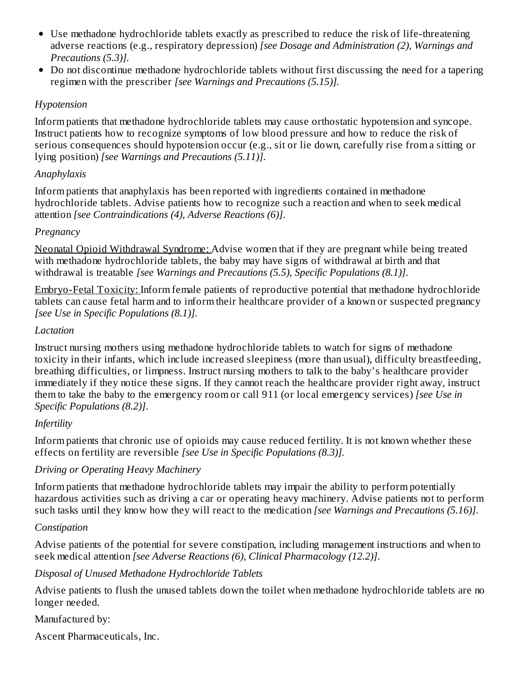- Use methadone hydrochloride tablets exactly as prescribed to reduce the risk of life-threatening adverse reactions (e.g., respiratory depression) *[see Dosage and Administration (2), Warnings and Precautions (5.3)].*
- Do not discontinue methadone hydrochloride tablets without first discussing the need for a tapering regimen with the prescriber *[see Warnings and Precautions (5.15)].*

### *Hypotension*

Inform patients that methadone hydrochloride tablets may cause orthostatic hypotension and syncope. Instruct patients how to recognize symptoms of low blood pressure and how to reduce the risk of serious consequences should hypotension occur (e.g., sit or lie down, carefully rise from a sitting or lying position) *[see Warnings and Precautions (5.11)]*.

### *Anaphylaxis*

Inform patients that anaphylaxis has been reported with ingredients contained in methadone hydrochloride tablets. Advise patients how to recognize such a reaction and when to seek medical attention *[see Contraindications (4), Adverse Reactions (6)]*.

### *Pregnancy*

Neonatal Opioid Withdrawal Syndrome: Advise women that if they are pregnant while being treated with methadone hydrochloride tablets, the baby may have signs of withdrawal at birth and that withdrawal is treatable *[see Warnings and Precautions (5.5), Specific Populations (8.1)]*.

Embryo-Fetal Toxicity: Inform female patients of reproductive potential that methadone hydrochloride tablets can cause fetal harm and to inform their healthcare provider of a known or suspected pregnancy *[see Use in Specific Populations (8.1)].*

### *Lactation*

Instruct nursing mothers using methadone hydrochloride tablets to watch for signs of methadone toxicity in their infants, which include increased sleepiness (more than usual), difficulty breastfeeding, breathing difficulties, or limpness. Instruct nursing mothers to talk to the baby's healthcare provider immediately if they notice these signs. If they cannot reach the healthcare provider right away, instruct them to take the baby to the emergency room or call 911 (or local emergency services) *[see Use in Specific Populations (8.2)]*.

### *Infertility*

Inform patients that chronic use of opioids may cause reduced fertility. It is not known whether these effects on fertility are reversible *[see Use in Specific Populations (8.3)].*

### *Driving or Operating Heavy Machinery*

Inform patients that methadone hydrochloride tablets may impair the ability to perform potentially hazardous activities such as driving a car or operating heavy machinery. Advise patients not to perform such tasks until they know how they will react to the medication *[see Warnings and Precautions (5.16)]*.

### *Constipation*

Advise patients of the potential for severe constipation, including management instructions and when to seek medical attention *[see Adverse Reactions (6), Clinical Pharmacology (12.2)]*.

### *Disposal of Unused Methadone Hydrochloride Tablets*

Advise patients to flush the unused tablets down the toilet when methadone hydrochloride tablets are no longer needed.

### Manufactured by:

Ascent Pharmaceuticals, Inc.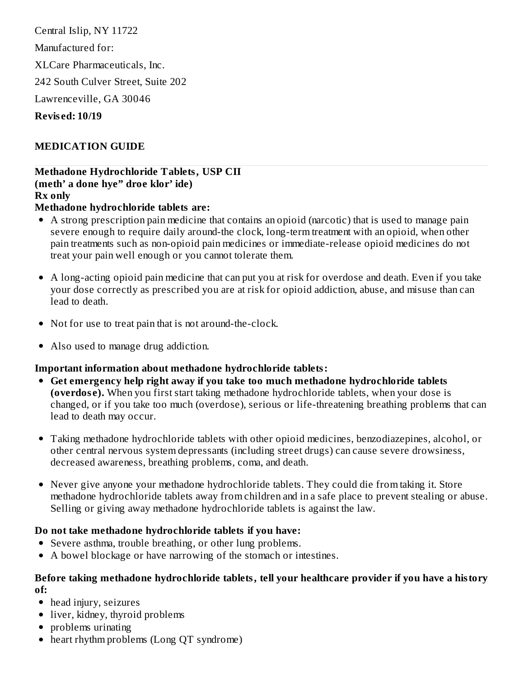Central Islip, NY 11722 Manufactured for: XLCare Pharmaceuticals, Inc. 242 South Culver Street, Suite 202 Lawrenceville, GA 30046 **Revis ed: 10/19**

### **MEDICATION GUIDE**

#### **Methadone Hydrochloride Tablets, USP CII (meth' a done hye" droe klor' ide) Rx only Methadone hydrochloride tablets are:**

- A strong prescription pain medicine that contains an opioid (narcotic) that is used to manage pain severe enough to require daily around-the clock, long-term treatment with an opioid, when other pain treatments such as non-opioid pain medicines or immediate-release opioid medicines do not treat your pain well enough or you cannot tolerate them.
- A long-acting opioid pain medicine that can put you at risk for overdose and death. Even if you take your dose correctly as prescribed you are at risk for opioid addiction, abuse, and misuse than can lead to death.
- Not for use to treat pain that is not around-the-clock.
- Also used to manage drug addiction.

#### **Important information about methadone hydrochloride tablets:**

- **Get emergency help right away if you take too much methadone hydrochloride tablets (overdose).** When you first start taking methadone hydrochloride tablets, when your dose is changed, or if you take too much (overdose), serious or life-threatening breathing problems that can lead to death may occur.
- Taking methadone hydrochloride tablets with other opioid medicines, benzodiazepines, alcohol, or other central nervous system depressants (including street drugs) can cause severe drowsiness, decreased awareness, breathing problems, coma, and death.
- Never give anyone your methadone hydrochloride tablets. They could die from taking it. Store methadone hydrochloride tablets away from children and in a safe place to prevent stealing or abuse. Selling or giving away methadone hydrochloride tablets is against the law.

#### **Do not take methadone hydrochloride tablets if you have:**

- Severe asthma, trouble breathing, or other lung problems.
- A bowel blockage or have narrowing of the stomach or intestines.

#### **Before taking methadone hydrochloride tablets, tell your healthcare provider if you have a history of:**

- head injury, seizures
- liver, kidney, thyroid problems
- problems urinating
- heart rhythm problems (Long QT syndrome)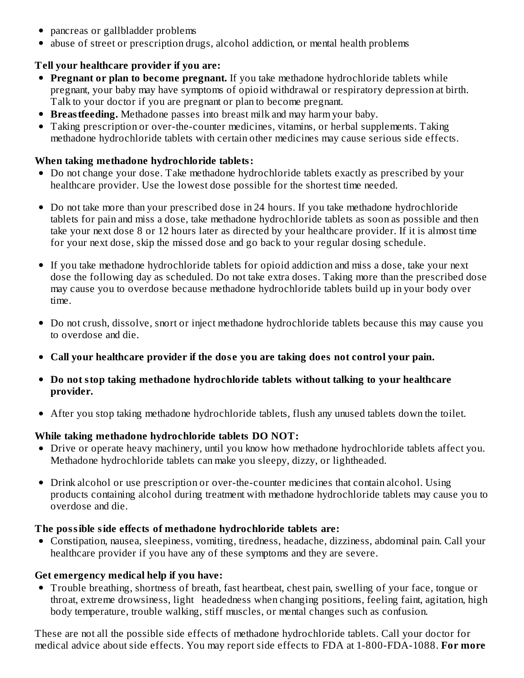- pancreas or gallbladder problems
- abuse of street or prescription drugs, alcohol addiction, or mental health problems

### **Tell your healthcare provider if you are:**

- **Pregnant or plan to become pregnant.** If you take methadone hydrochloride tablets while pregnant, your baby may have symptoms of opioid withdrawal or respiratory depression at birth. Talk to your doctor if you are pregnant or plan to become pregnant.
- **Breastfeeding.** Methadone passes into breast milk and may harm your baby.
- Taking prescription or over-the-counter medicines, vitamins, or herbal supplements. Taking methadone hydrochloride tablets with certain other medicines may cause serious side effects.

#### **When taking methadone hydrochloride tablets:**

- Do not change your dose. Take methadone hydrochloride tablets exactly as prescribed by your healthcare provider. Use the lowest dose possible for the shortest time needed.
- Do not take more than your prescribed dose in 24 hours. If you take methadone hydrochloride tablets for pain and miss a dose, take methadone hydrochloride tablets as soon as possible and then take your next dose 8 or 12 hours later as directed by your healthcare provider. If it is almost time for your next dose, skip the missed dose and go back to your regular dosing schedule.
- If you take methadone hydrochloride tablets for opioid addiction and miss a dose, take your next dose the following day as scheduled. Do not take extra doses. Taking more than the prescribed dose may cause you to overdose because methadone hydrochloride tablets build up in your body over time.
- Do not crush, dissolve, snort or inject methadone hydrochloride tablets because this may cause you to overdose and die.
- **Call your healthcare provider if the dos e you are taking does not control your pain.**
- **Do not stop taking methadone hydrochloride tablets without talking to your healthcare provider.**
- After you stop taking methadone hydrochloride tablets, flush any unused tablets down the toilet.

### **While taking methadone hydrochloride tablets DO NOT:**

- Drive or operate heavy machinery, until you know how methadone hydrochloride tablets affect you. Methadone hydrochloride tablets can make you sleepy, dizzy, or lightheaded.
- Drink alcohol or use prescription or over-the-counter medicines that contain alcohol. Using products containing alcohol during treatment with methadone hydrochloride tablets may cause you to overdose and die.

### **The possible side effects of methadone hydrochloride tablets are:**

Constipation, nausea, sleepiness, vomiting, tiredness, headache, dizziness, abdominal pain. Call your healthcare provider if you have any of these symptoms and they are severe.

#### **Get emergency medical help if you have:**

Trouble breathing, shortness of breath, fast heartbeat, chest pain, swelling of your face, tongue or throat, extreme drowsiness, light headedness when changing positions, feeling faint, agitation, high body temperature, trouble walking, stiff muscles, or mental changes such as confusion.

These are not all the possible side effects of methadone hydrochloride tablets. Call your doctor for medical advice about side effects. You may report side effects to FDA at 1-800-FDA-1088. **For more**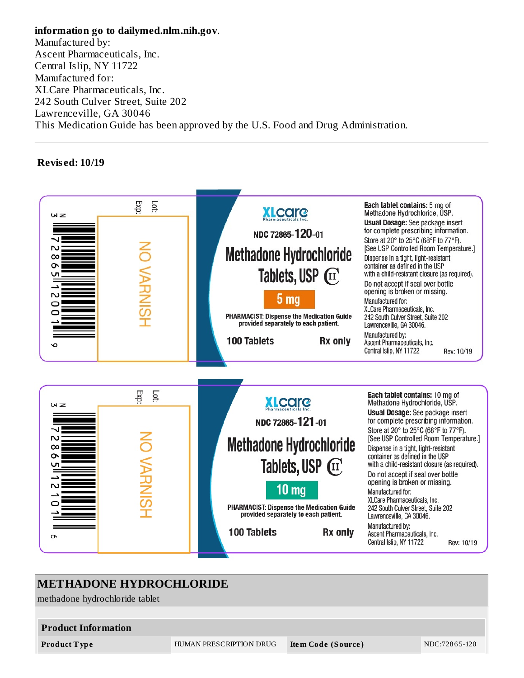**information go to dailymed.nlm.nih.gov**. Manufactured by: Ascent Pharmaceuticals, Inc. Central Islip, NY 11722 Manufactured for: XLCare Pharmaceuticals, Inc. 242 South Culver Street, Suite 202 Lawrenceville, GA 30046 This Medication Guide has been approved by the U.S. Food and Drug Administration.

#### **Revis ed: 10/19**



# **METHADONE HYDROCHLORIDE** methadone hydrochloride tablet **Product Information Product T ype** HUMAN PRESCRIPTION DRUG **Ite m Code (Source )** NDC:728 6 5-120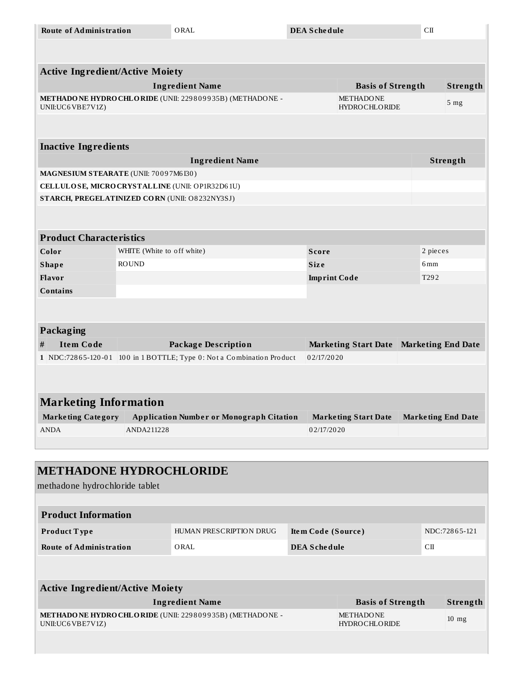| <b>Route of Administration</b>                  |                                            | ORAL<br><b>DEA Schedule</b>                                           |            |                                          | C <sub>II</sub>  |                           |
|-------------------------------------------------|--------------------------------------------|-----------------------------------------------------------------------|------------|------------------------------------------|------------------|---------------------------|
|                                                 |                                            |                                                                       |            |                                          |                  |                           |
| <b>Active Ingredient/Active Moiety</b>          |                                            |                                                                       |            |                                          |                  |                           |
|                                                 |                                            | <b>Ingredient Name</b>                                                |            | <b>Basis of Strength</b>                 |                  | Strength                  |
| UNII:UC6VBE7V1Z)                                |                                            | METHADO NE HYDRO CHLORIDE (UNII: 229809935B) (METHADO NE -            |            | <b>METHADONE</b><br><b>HYDROCHLORIDE</b> |                  | 5 <sub>mg</sub>           |
|                                                 |                                            |                                                                       |            |                                          |                  |                           |
| <b>Inactive Ingredients</b>                     |                                            |                                                                       |            |                                          |                  |                           |
|                                                 |                                            | <b>Ingredient Name</b>                                                |            |                                          |                  | Strength                  |
| MAGNESIUM STEARATE (UNII: 70097M6I30)           |                                            |                                                                       |            |                                          |                  |                           |
| CELLULOSE, MICRO CRYSTALLINE (UNII: OP1R32D61U) |                                            |                                                                       |            |                                          |                  |                           |
| STARCH, PREGELATINIZED CORN (UNII: O8232NY3SJ)  |                                            |                                                                       |            |                                          |                  |                           |
|                                                 |                                            |                                                                       |            |                                          |                  |                           |
| <b>Product Characteristics</b>                  |                                            |                                                                       |            |                                          |                  |                           |
| Color                                           | WHITE (White to off white)<br><b>Score</b> |                                                                       |            |                                          | 2 pieces         |                           |
| <b>Shape</b>                                    | <b>ROUND</b><br><b>Size</b>                |                                                                       |            |                                          | 6mm              |                           |
| Flavor                                          |                                            |                                                                       |            | <b>Imprint Code</b>                      | T <sub>292</sub> |                           |
| <b>Contains</b>                                 |                                            |                                                                       |            |                                          |                  |                           |
|                                                 |                                            |                                                                       |            |                                          |                  |                           |
|                                                 |                                            |                                                                       |            |                                          |                  |                           |
| Packaging                                       |                                            |                                                                       |            |                                          |                  |                           |
| <b>Item Code</b><br>#                           |                                            | <b>Package Description</b>                                            |            | <b>Marketing Start Date</b>              |                  | <b>Marketing End Date</b> |
|                                                 |                                            | 1 NDC:72865-120-01 100 in 1 BOTTLE; Type 0: Not a Combination Product | 02/17/2020 |                                          |                  |                           |
|                                                 |                                            |                                                                       |            |                                          |                  |                           |
|                                                 |                                            |                                                                       |            |                                          |                  |                           |
| <b>Marketing Information</b>                    |                                            |                                                                       |            |                                          |                  |                           |
| <b>Marketing Category</b>                       |                                            | <b>Application Number or Monograph Citation</b>                       |            | <b>Marketing Start Date</b>              |                  | <b>Marketing End Date</b> |
| <b>ANDA</b>                                     | ANDA211228                                 |                                                                       | 02/17/2020 |                                          |                  |                           |
|                                                 |                                            |                                                                       |            |                                          |                  |                           |

# **METHADONE HYDROCHLORIDE**

methadone hydrochloride tablet

| <b>Product Information</b>     |                         |                     |               |
|--------------------------------|-------------------------|---------------------|---------------|
| <b>Product Type</b>            | HUMAN PRESCRIPTION DRUG | Item Code (Source)  | NDC:72865-121 |
| <b>Route of Administration</b> | ORAL                    | <b>DEA Schedule</b> | СП            |

| <b>Active Ingredient/Active Moiety</b>                                                  |                                   |                 |  |
|-----------------------------------------------------------------------------------------|-----------------------------------|-----------------|--|
| Ingredient Name                                                                         | <b>Basis of Strength</b>          | Strength        |  |
| <b>METHADO NE HYDRO CHLO RIDE (UNII: 229809935B) (METHADO NE -</b><br>UNII:UC6 VBE7V1Z) | <b>METHADONE</b><br>HYDROCHLORIDE | $10 \text{ mg}$ |  |